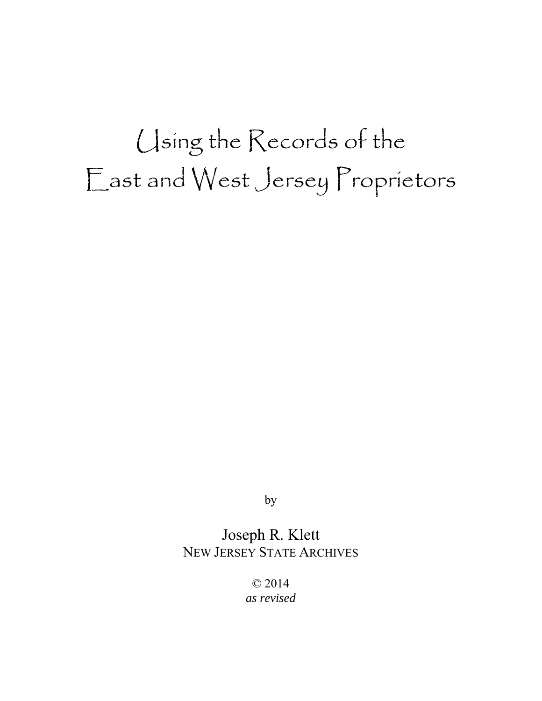# Using the Records of the East and West Jersey Proprietors

by

### Joseph R. Klett NEW JERSEY STATE ARCHIVES

© 2014 *as revised*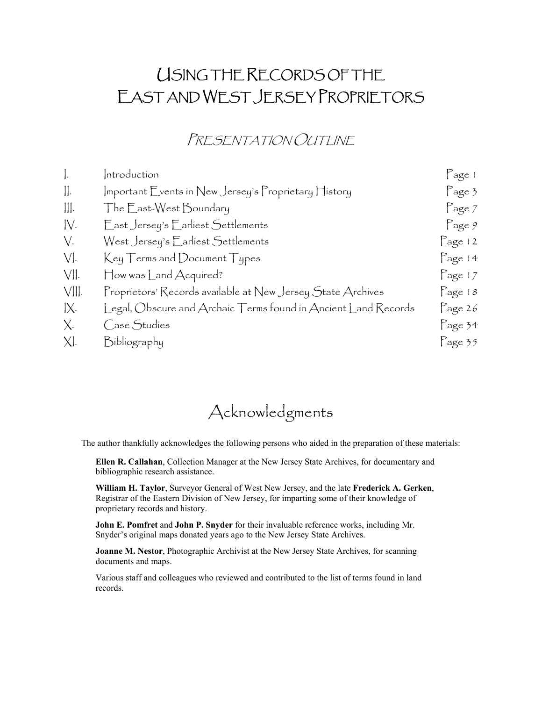# USING THE RECORDS OF THE EAST AND WEST JERSEY PROPRIETORS

### PRESENTATION OUTLINE

| $\vert$ .      | Introduction                                                                             | Page 1          |
|----------------|------------------------------------------------------------------------------------------|-----------------|
| $\prod$ .      | $ $ mportant $\mathsf F$ vents in New Jersey's $\mathsf P$ roprietary $\mathsf H$ istory | Page 3          |
| $\ \ $ .       | The East-West Boundary                                                                   | Page 7          |
| IV.            | East Jersey's Earliest Settlements                                                       | Page 9          |
| $V_{\cdot}$    | West Jersey's Earliest Settlements                                                       | Page 12         |
| $V$ .          | $Key Terms$ and Document Types                                                           | Page 14         |
| VII.           | How was Land Acquired?                                                                   | Page 17         |
| VIII.          | Proprietors' Records available at New Jersey State Archives                              | Page $18$       |
| $\mathsf{IX}.$ | [egal, $O$ bscure and Archaic $\top$ erms found in Ancient [and Records                  | Page 26         |
| $X_{1}$        | Case Studies                                                                             | Page 34         |
| XI.            | Bibliography                                                                             | $\Gamma$ age 35 |

## Acknowledgments

The author thankfully acknowledges the following persons who aided in the preparation of these materials:

**Ellen R. Callahan**, Collection Manager at the New Jersey State Archives, for documentary and bibliographic research assistance.

**William H. Taylor**, Surveyor General of West New Jersey, and the late **Frederick A. Gerken**, Registrar of the Eastern Division of New Jersey, for imparting some of their knowledge of proprietary records and history.

**John E. Pomfret** and **John P. Snyder** for their invaluable reference works, including Mr. Snyder's original maps donated years ago to the New Jersey State Archives.

**Joanne M. Nestor, Photographic Archivist at the New Jersey State Archives, for scanning** documents and maps.

Various staff and colleagues who reviewed and contributed to the list of terms found in land records.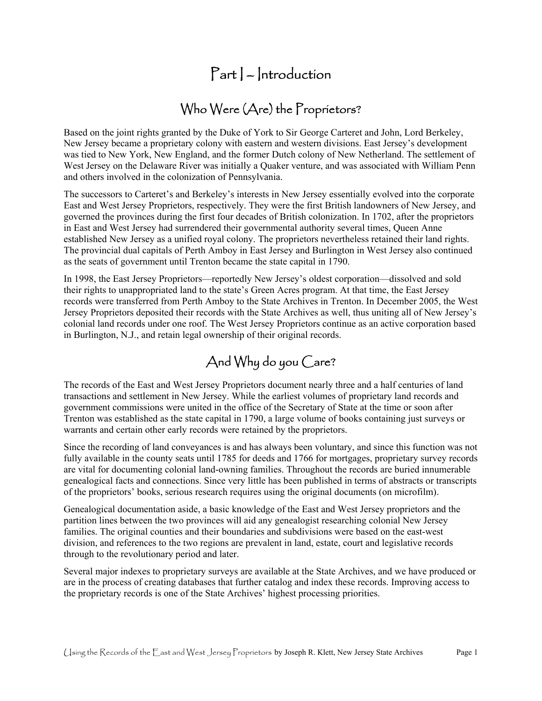### $Part$  – Introduction

# Who Were (Are) the Proprietors?

Based on the joint rights granted by the Duke of York to Sir George Carteret and John, Lord Berkeley, New Jersey became a proprietary colony with eastern and western divisions. East Jersey's development was tied to New York, New England, and the former Dutch colony of New Netherland. The settlement of West Jersey on the Delaware River was initially a Quaker venture, and was associated with William Penn and others involved in the colonization of Pennsylvania.

 The successors to Carteret's and Berkeley's interests in New Jersey essentially evolved into the corporate The provincial dual capitals of Perth Amboy in East Jersey and Burlington in West Jersey also continued East and West Jersey Proprietors, respectively. They were the first British landowners of New Jersey, and governed the provinces during the first four decades of British colonization. In 1702, after the proprietors in East and West Jersey had surrendered their governmental authority several times, Queen Anne established New Jersey as a unified royal colony. The proprietors nevertheless retained their land rights. as the seats of government until Trenton became the state capital in 1790.

In 1998, the East Jersey Proprietors—reportedly New Jersey's oldest corporation—dissolved and sold their rights to unappropriated land to the state's Green Acres program. At that time, the East Jersey records were transferred from Perth Amboy to the State Archives in Trenton. In December 2005, the West Jersey Proprietors deposited their records with the State Archives as well, thus uniting all of New Jersey's colonial land records under one roof. The West Jersey Proprietors continue as an active corporation based in Burlington, N.J., and retain legal ownership of their original records.

### And Why do you Care?

The records of the East and West Jersey Proprietors document nearly three and a half centuries of land transactions and settlement in New Jersey. While the earliest volumes of proprietary land records and government commissions were united in the office of the Secretary of State at the time or soon after Trenton was established as the state capital in 1790, a large volume of books containing just surveys or warrants and certain other early records were retained by the proprietors.

 fully available in the county seats until 1785 for deeds and 1766 for mortgages, proprietary survey records Since the recording of land conveyances is and has always been voluntary, and since this function was not are vital for documenting colonial land-owning families. Throughout the records are buried innumerable genealogical facts and connections. Since very little has been published in terms of abstracts or transcripts of the proprietors' books, serious research requires using the original documents (on microfilm).

Genealogical documentation aside, a basic knowledge of the East and West Jersey proprietors and the partition lines between the two provinces will aid any genealogist researching colonial New Jersey families. The original counties and their boundaries and subdivisions were based on the east-west division, and references to the two regions are prevalent in land, estate, court and legislative records through to the revolutionary period and later.

Several major indexes to proprietary surveys are available at the State Archives, and we have produced or are in the process of creating databases that further catalog and index these records. Improving access to the proprietary records is one of the State Archives' highest processing priorities.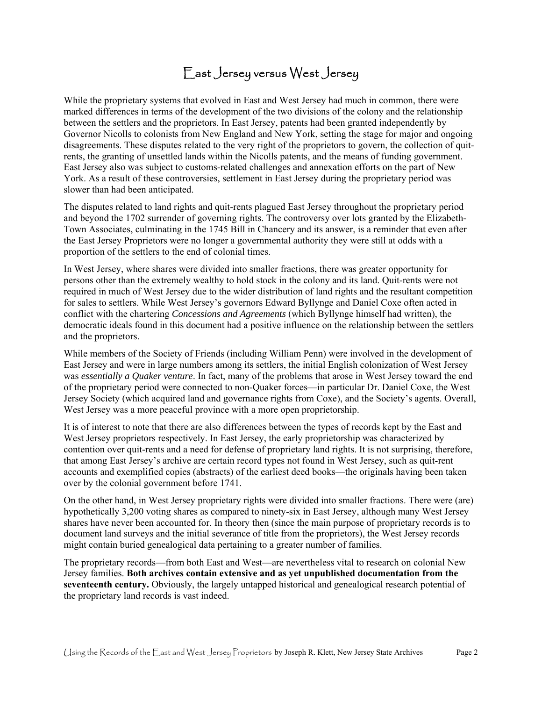### East Jersey versus West Jersey

 between the settlers and the proprietors. In East Jersey, patents had been granted independently by disagreements. These disputes related to the very right of the proprietors to govern, the collection of quit-While the proprietary systems that evolved in East and West Jersey had much in common, there were marked differences in terms of the development of the two divisions of the colony and the relationship Governor Nicolls to colonists from New England and New York, setting the stage for major and ongoing rents, the granting of unsettled lands within the Nicolls patents, and the means of funding government. East Jersey also was subject to customs-related challenges and annexation efforts on the part of New York. As a result of these controversies, settlement in East Jersey during the proprietary period was slower than had been anticipated.

The disputes related to land rights and quit-rents plagued East Jersey throughout the proprietary period and beyond the 1702 surrender of governing rights. The controversy over lots granted by the Elizabeth-Town Associates, culminating in the 1745 Bill in Chancery and its answer, is a reminder that even after the East Jersey Proprietors were no longer a governmental authority they were still at odds with a proportion of the settlers to the end of colonial times.

In West Jersey, where shares were divided into smaller fractions, there was greater opportunity for persons other than the extremely wealthy to hold stock in the colony and its land. Quit-rents were not required in much of West Jersey due to the wider distribution of land rights and the resultant competition for sales to settlers. While West Jersey's governors Edward Byllynge and Daniel Coxe often acted in conflict with the chartering *Concessions and Agreements* (which Byllynge himself had written), the democratic ideals found in this document had a positive influence on the relationship between the settlers and the proprietors.

 West Jersey was a more peaceful province with a more open proprietorship. While members of the Society of Friends (including William Penn) were involved in the development of East Jersey and were in large numbers among its settlers, the initial English colonization of West Jersey was *essentially a Quaker venture*. In fact, many of the problems that arose in West Jersey toward the end of the proprietary period were connected to non-Quaker forces—in particular Dr. Daniel Coxe, the West Jersey Society (which acquired land and governance rights from Coxe), and the Society's agents. Overall,

 West Jersey proprietors respectively. In East Jersey, the early proprietorship was characterized by It is of interest to note that there are also differences between the types of records kept by the East and contention over quit-rents and a need for defense of proprietary land rights. It is not surprising, therefore, that among East Jersey's archive are certain record types not found in West Jersey, such as quit-rent accounts and exemplified copies (abstracts) of the earliest deed books—the originals having been taken over by the colonial government before 1741.

 On the other hand, in West Jersey proprietary rights were divided into smaller fractions. There were (are) hypothetically 3,200 voting shares as compared to ninety-six in East Jersey, although many West Jersey shares have never been accounted for. In theory then (since the main purpose of proprietary records is to document land surveys and the initial severance of title from the proprietors), the West Jersey records might contain buried genealogical data pertaining to a greater number of families.

The proprietary records—from both East and West—are nevertheless vital to research on colonial New Jersey families. **Both archives contain extensive and as yet unpublished documentation from the seventeenth century.** Obviously, the largely untapped historical and genealogical research potential of the proprietary land records is vast indeed.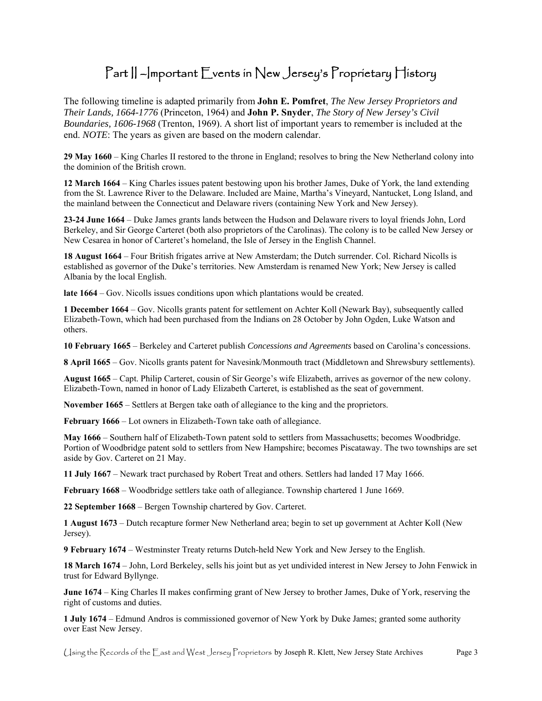### Part || -|mportant Events in New Jersey's Proprietary History

 The following timeline is adapted primarily from **John E. Pomfret**, *The New Jersey Proprietors and Their Lands, 1664-1776* (Princeton, 1964) and **John P. Snyder**, *The Story of New Jersey's Civil Boundaries, 1606-1968* (Trenton, 1969). A short list of important years to remember is included at the end. *NOTE*: The years as given are based on the modern calendar.

 **29 May 1660** – King Charles II restored to the throne in England; resolves to bring the New Netherland colony into the dominion of the British crown.

 **12 March 1664** – King Charles issues patent bestowing upon his brother James, Duke of York, the land extending from the St. Lawrence River to the Delaware. Included are Maine, Martha's Vineyard, Nantucket, Long Island, and the mainland between the Connecticut and Delaware rivers (containing New York and New Jersey).

 **23-24 June 1664** – Duke James grants lands between the Hudson and Delaware rivers to loyal friends John, Lord Berkeley, and Sir George Carteret (both also proprietors of the Carolinas). The colony is to be called New Jersey or New Cesarea in honor of Carteret's homeland, the Isle of Jersey in the English Channel.

 **18 August 1664** – Four British frigates arrive at New Amsterdam; the Dutch surrender. Col. Richard Nicolls is established as governor of the Duke's territories. New Amsterdam is renamed New York; New Jersey is called Albania by the local English.

**late 1664** – Gov. Nicolls issues conditions upon which plantations would be created.

 **1 December 1664** – Gov. Nicolls grants patent for settlement on Achter Koll (Newark Bay), subsequently called Elizabeth-Town, which had been purchased from the Indians on 28 October by John Ogden, Luke Watson and others.

**10 February 1665** – Berkeley and Carteret publish *Concessions and Agreements* based on Carolina's concessions.

**8 April 1665** – Gov. Nicolls grants patent for Navesink/Monmouth tract (Middletown and Shrewsbury settlements).

 **August 1665** – Capt. Philip Carteret, cousin of Sir George's wife Elizabeth, arrives as governor of the new colony. Elizabeth-Town, named in honor of Lady Elizabeth Carteret, is established as the seat of government.

**November 1665** – Settlers at Bergen take oath of allegiance to the king and the proprietors.

**February 1666** – Lot owners in Elizabeth-Town take oath of allegiance.

 **May 1666** – Southern half of Elizabeth-Town patent sold to settlers from Massachusetts; becomes Woodbridge. Portion of Woodbridge patent sold to settlers from New Hampshire; becomes Piscataway. The two townships are set aside by Gov. Carteret on 21 May.

 **11 July 1667** – Newark tract purchased by Robert Treat and others. Settlers had landed 17 May 1666.

**February 1668** – Woodbridge settlers take oath of allegiance. Township chartered 1 June 1669.

**22 September 1668** – Bergen Township chartered by Gov. Carteret.

**1 August 1673** – Dutch recapture former New Netherland area; begin to set up government at Achter Koll (New Jersey).

**9 February 1674** – Westminster Treaty returns Dutch-held New York and New Jersey to the English.

 **18 March 1674** – John, Lord Berkeley, sells his joint but as yet undivided interest in New Jersey to John Fenwick in trust for Edward Byllynge.

 right of customs and duties. **June 1674** – King Charles II makes confirming grant of New Jersey to brother James, Duke of York, reserving the

 **1 July 1674** – Edmund Andros is commissioned governor of New York by Duke James; granted some authority over East New Jersey.

Using the Records of the East and West Jersey Proprietors by Joseph R. Klett, New Jersey State Archives Page 3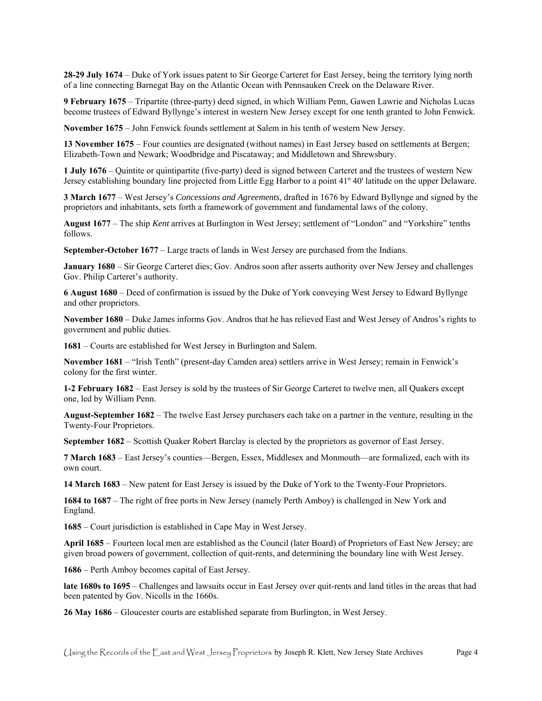**28-29 July 1674** – Duke of York issues patent to Sir George Carteret for East Jersey, being the territory lying north of a line connecting Barnegat Bay on the Atlantic Ocean with Pennsauken Creek on the Delaware River.

 **9 February 1675** – Tripartite (three-party) deed signed, in which William Penn, Gawen Lawrie and Nicholas Lucas become trustees of Edward Byllynge's interest in western New Jersey except for one tenth granted to John Fenwick.

**November 1675** – John Fenwick founds settlement at Salem in his tenth of western New Jersey.

**13 November 1675** – Four counties are designated (without names) in East Jersey based on settlements at Bergen; Elizabeth-Town and Newark; Woodbridge and Piscataway; and Middletown and Shrewsbury.

 **1 July 1676** – Quintite or quintipartite (five-party) deed is signed between Carteret and the trustees of western New Jersey establishing boundary line projected from Little Egg Harbor to a point 41º 40' latitude on the upper Delaware.

 **3 March 1677** – West Jersey's *Concessions and Agreements*, drafted in 1676 by Edward Byllynge and signed by the proprietors and inhabitants, sets forth a framework of government and fundamental laws of the colony.

 **August 1677** – The ship *Kent* arrives at Burlington in West Jersey; settlement of "London" and "Yorkshire" tenths follows.

**September-October 1677** – Large tracts of lands in West Jersey are purchased from the Indians.

 **January 1680** – Sir George Carteret dies; Gov. Andros soon after asserts authority over New Jersey and challenges Gov. Philip Carteret's authority.

 **6 August 1680** – Deed of confirmation is issued by the Duke of York conveying West Jersey to Edward Byllynge and other proprietors.

 government and public duties. **November 1680** – Duke James informs Gov. Andros that he has relieved East and West Jersey of Andros's rights to

**1681** – Courts are established for West Jersey in Burlington and Salem.

**November 1681** – "Irish Tenth" (present-day Camden area) settlers arrive in West Jersey; remain in Fenwick's colony for the first winter.

 **1-2 February 1682** – East Jersey is sold by the trustees of Sir George Carteret to twelve men, all Quakers except one, led by William Penn.

 **August-September 1682** – The twelve East Jersey purchasers each take on a partner in the venture, resulting in the Twenty-Four Proprietors.

**September 1682** – Scottish Quaker Robert Barclay is elected by the proprietors as governor of East Jersey.

**7 March 1683** – East Jersey's counties—Bergen, Essex, Middlesex and Monmouth—are formalized, each with its own court.

**14 March 1683** – New patent for East Jersey is issued by the Duke of York to the Twenty-Four Proprietors.

 **1684 to 1687** – The right of free ports in New Jersey (namely Perth Amboy) is challenged in New York and England.

**1685** – Court jurisdiction is established in Cape May in West Jersey.

**April 1685** – Fourteen local men are established as the Council (later Board) of Proprietors of East New Jersey; are given broad powers of government, collection of quit-rents, and determining the boundary line with West Jersey.

**1686** – Perth Amboy becomes capital of East Jersey.

 **late 1680s to 1695** – Challenges and lawsuits occur in East Jersey over quit-rents and land titles in the areas that had been patented by Gov. Nicolls in the 1660s.

**26 May 1686** – Gloucester courts are established separate from Burlington, in West Jersey.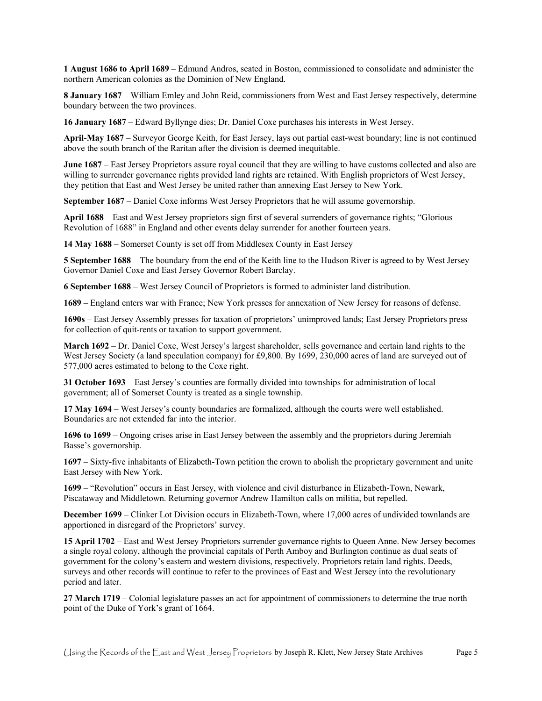**1 August 1686 to April 1689** – Edmund Andros, seated in Boston, commissioned to consolidate and administer the northern American colonies as the Dominion of New England.

 **8 January 1687** – William Emley and John Reid, commissioners from West and East Jersey respectively, determine boundary between the two provinces.

**16 January 1687** – Edward Byllynge dies; Dr. Daniel Coxe purchases his interests in West Jersey.

 **April-May 1687** – Surveyor George Keith, for East Jersey, lays out partial east-west boundary; line is not continued above the south branch of the Raritan after the division is deemed inequitable.

 **June 1687** – East Jersey Proprietors assure royal council that they are willing to have customs collected and also are willing to surrender governance rights provided land rights are retained. With English proprietors of West Jersey, they petition that East and West Jersey be united rather than annexing East Jersey to New York.

**September 1687** – Daniel Coxe informs West Jersey Proprietors that he will assume governorship.

 **April 1688** – East and West Jersey proprietors sign first of several surrenders of governance rights; "Glorious Revolution of 1688" in England and other events delay surrender for another fourteen years.

**14 May 1688** – Somerset County is set off from Middlesex County in East Jersey

 **5 September 1688** – The boundary from the end of the Keith line to the Hudson River is agreed to by West Jersey Governor Daniel Coxe and East Jersey Governor Robert Barclay.

**6 September 1688** – West Jersey Council of Proprietors is formed to administer land distribution.

**1689** – England enters war with France; New York presses for annexation of New Jersey for reasons of defense.

 for collection of quit-rents or taxation to support government. **1690s** – East Jersey Assembly presses for taxation of proprietors' unimproved lands; East Jersey Proprietors press

 **March 1692** – Dr. Daniel Coxe, West Jersey's largest shareholder, sells governance and certain land rights to the West Jersey Society (a land speculation company) for £9,800. By 1699, 230,000 acres of land are surveyed out of 577,000 acres estimated to belong to the Coxe right.

**31 October 1693** – East Jersey's counties are formally divided into townships for administration of local government; all of Somerset County is treated as a single township.

 **17 May 1694** – West Jersey's county boundaries are formalized, although the courts were well established. Boundaries are not extended far into the interior.

 **1696 to 1699** – Ongoing crises arise in East Jersey between the assembly and the proprietors during Jeremiah Basse's governorship.

 **1697** – Sixty-five inhabitants of Elizabeth-Town petition the crown to abolish the proprietary government and unite East Jersey with New York.

 **1699** – "Revolution" occurs in East Jersey, with violence and civil disturbance in Elizabeth-Town, Newark, Piscataway and Middletown. Returning governor Andrew Hamilton calls on militia, but repelled.

**December 1699** – Clinker Lot Division occurs in Elizabeth-Town, where 17,000 acres of undivided townlands are apportioned in disregard of the Proprietors' survey.

 **15 April 1702** – East and West Jersey Proprietors surrender governance rights to Queen Anne. New Jersey becomes a single royal colony, although the provincial capitals of Perth Amboy and Burlington continue as dual seats of surveys and other records will continue to refer to the provinces of East and West Jersey into the revolutionary government for the colony's eastern and western divisions, respectively. Proprietors retain land rights. Deeds, period and later.

 **27 March 1719** – Colonial legislature passes an act for appointment of commissioners to determine the true north point of the Duke of York's grant of 1664.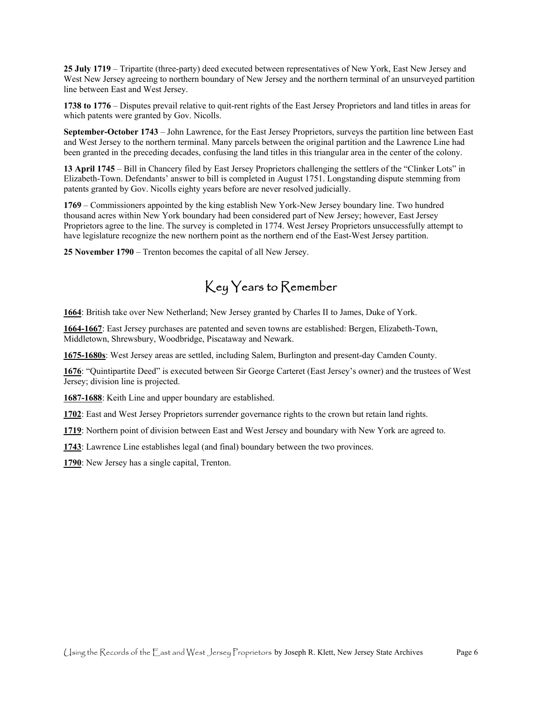**25 July 1719** – Tripartite (three-party) deed executed between representatives of New York, East New Jersey and West New Jersey agreeing to northern boundary of New Jersey and the northern terminal of an unsurveyed partition line between East and West Jersey.

 **1738 to 1776** – Disputes prevail relative to quit-rent rights of the East Jersey Proprietors and land titles in areas for which patents were granted by Gov. Nicolls.

 **September-October 1743** – John Lawrence, for the East Jersey Proprietors, surveys the partition line between East and West Jersey to the northern terminal. Many parcels between the original partition and the Lawrence Line had been granted in the preceding decades, confusing the land titles in this triangular area in the center of the colony.

 **13 April 1745** – Bill in Chancery filed by East Jersey Proprietors challenging the settlers of the "Clinker Lots" in Elizabeth-Town. Defendants' answer to bill is completed in August 1751. Longstanding dispute stemming from patents granted by Gov. Nicolls eighty years before are never resolved judicially.

 have legislature recognize the new northern point as the northern end of the East-West Jersey partition. **1769** – Commissioners appointed by the king establish New York-New Jersey boundary line. Two hundred thousand acres within New York boundary had been considered part of New Jersey; however, East Jersey Proprietors agree to the line. The survey is completed in 1774. West Jersey Proprietors unsuccessfully attempt to

**25 November 1790** – Trenton becomes the capital of all New Jersey.

### Key Years to Remember

**1664**: British take over New Netherland; New Jersey granted by Charles II to James, Duke of York.

**1664-1667**: East Jersey purchases are patented and seven towns are established: Bergen, Elizabeth-Town, Middletown, Shrewsbury, Woodbridge, Piscataway and Newark.

**1675-1680s**: West Jersey areas are settled, including Salem, Burlington and present-day Camden County.

 **1676**: "Quintipartite Deed" is executed between Sir George Carteret (East Jersey's owner) and the trustees of West Jersey; division line is projected.

**1687-1688**: Keith Line and upper boundary are established.

**1702**: East and West Jersey Proprietors surrender governance rights to the crown but retain land rights.

**1719**: Northern point of division between East and West Jersey and boundary with New York are agreed to.

**1743**: Lawrence Line establishes legal (and final) boundary between the two provinces.

**1790**: New Jersey has a single capital, Trenton.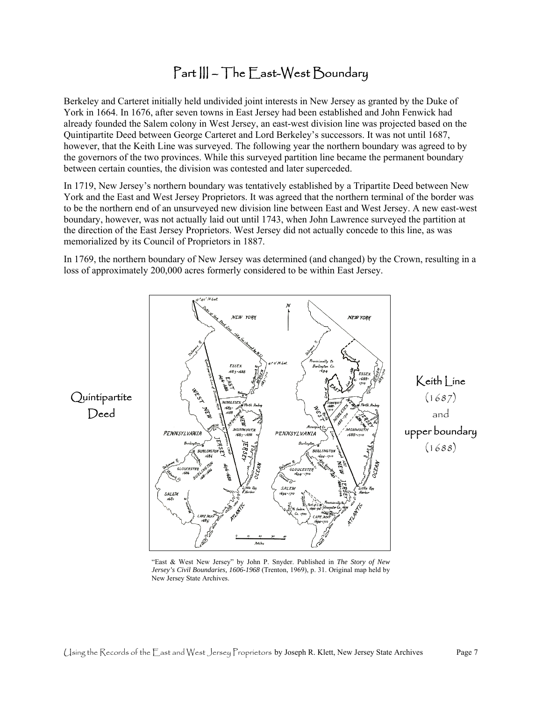### Part III – The East-West Boundary

 already founded the Salem colony in West Jersey, an east-west division line was projected based on the Berkeley and Carteret initially held undivided joint interests in New Jersey as granted by the Duke of York in 1664. In 1676, after seven towns in East Jersey had been established and John Fenwick had Quintipartite Deed between George Carteret and Lord Berkeley's successors. It was not until 1687, however, that the Keith Line was surveyed. The following year the northern boundary was agreed to by the governors of the two provinces. While this surveyed partition line became the permanent boundary between certain counties, the division was contested and later superceded.

 memorialized by its Council of Proprietors in 1887. In 1719, New Jersey's northern boundary was tentatively established by a Tripartite Deed between New York and the East and West Jersey Proprietors. It was agreed that the northern terminal of the border was to be the northern end of an unsurveyed new division line between East and West Jersey. A new east-west boundary, however, was not actually laid out until 1743, when John Lawrence surveyed the partition at the direction of the East Jersey Proprietors. West Jersey did not actually concede to this line, as was

In 1769, the northern boundary of New Jersey was determined (and changed) by the Crown, resulting in a loss of approximately 200,000 acres formerly considered to be within East Jersey.



 "East & West New Jersey" by John P. Snyder. Published in *The Story of New Jersey's Civil Boundaries, 1606-1968* (Trenton, 1969), p. 31. Original map held by New Jersey State Archives.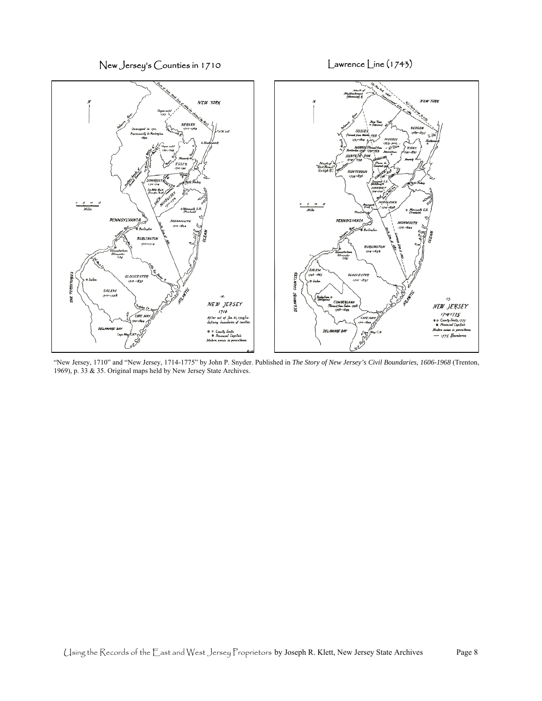New Jersey's Counties in 1710 Lawrence Line (1743)



"New Jersey, 1710" and "New Jersey, 1714-1775" by John P. Snyder. Published in *The Story of New Jersey's Civil Boundaries, 1606-1968* (Trenton, 1969), p. 33 & 35. Original maps held by New Jersey State Archives.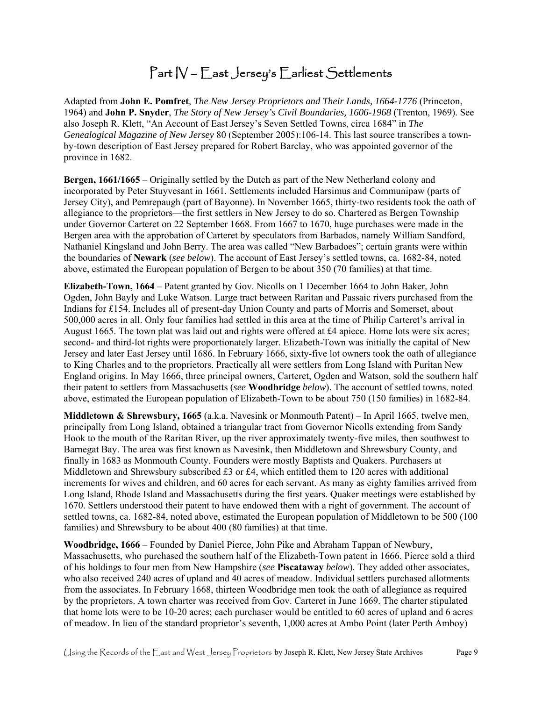### Part IV – East Jersey's Earliest Settlements

Adapted from **John E. Pomfret**, *The New Jersey Proprietors and Their Lands, 1664-1776* (Princeton, 1964) and **John P. Snyder**, *The Story of New Jersey's Civil Boundaries, 1606-1968* (Trenton, 1969). See also Joseph R. Klett, "An Account of East Jersey's Seven Settled Towns, circa 1684" in *The Genealogical Magazine of New Jersey* 80 (September 2005):106-14. This last source transcribes a townby-town description of East Jersey prepared for Robert Barclay, who was appointed governor of the province in 1682.

**Bergen, 1661/1665** – Originally settled by the Dutch as part of the New Netherland colony and incorporated by Peter Stuyvesant in 1661. Settlements included Harsimus and Communipaw (parts of Jersey City), and Pemrepaugh (part of Bayonne). In November 1665, thirty-two residents took the oath of allegiance to the proprietors—the first settlers in New Jersey to do so. Chartered as Bergen Township under Governor Carteret on 22 September 1668. From 1667 to 1670, huge purchases were made in the Bergen area with the approbation of Carteret by speculators from Barbados, namely William Sandford, Nathaniel Kingsland and John Berry. The area was called "New Barbadoes"; certain grants were within the boundaries of **Newark** (*see below*). The account of East Jersey's settled towns, ca. 1682-84, noted above, estimated the European population of Bergen to be about 350 (70 families) at that time.

 Jersey and later East Jersey until 1686. In February 1666, sixty-five lot owners took the oath of allegiance **Elizabeth-Town, 1664** – Patent granted by Gov. Nicolls on 1 December 1664 to John Baker, John Ogden, John Bayly and Luke Watson. Large tract between Raritan and Passaic rivers purchased from the Indians for £154. Includes all of present-day Union County and parts of Morris and Somerset, about 500,000 acres in all. Only four families had settled in this area at the time of Philip Carteret's arrival in August 1665. The town plat was laid out and rights were offered at £4 apiece. Home lots were six acres; second- and third-lot rights were proportionately larger. Elizabeth-Town was initially the capital of New to King Charles and to the proprietors. Practically all were settlers from Long Island with Puritan New England origins. In May 1666, three principal owners, Carteret, Ogden and Watson, sold the southern half their patent to settlers from Massachusetts (*see* **Woodbridge** *below*). The account of settled towns, noted above, estimated the European population of Elizabeth-Town to be about 750 (150 families) in 1682-84.

**Middletown & Shrewsbury, 1665** (a.k.a. Navesink or Monmouth Patent) – In April 1665, twelve men, principally from Long Island, obtained a triangular tract from Governor Nicolls extending from Sandy Hook to the mouth of the Raritan River, up the river approximately twenty-five miles, then southwest to Barnegat Bay. The area was first known as Navesink, then Middletown and Shrewsbury County, and finally in 1683 as Monmouth County. Founders were mostly Baptists and Quakers. Purchasers at Middletown and Shrewsbury subscribed  $£3$  or  $£4$ , which entitled them to 120 acres with additional increments for wives and children, and 60 acres for each servant. As many as eighty families arrived from Long Island, Rhode Island and Massachusetts during the first years. Quaker meetings were established by 1670. Settlers understood their patent to have endowed them with a right of government. The account of settled towns, ca. 1682-84, noted above, estimated the European population of Middletown to be 500 (100 families) and Shrewsbury to be about 400 (80 families) at that time.

**Woodbridge, 1666** – Founded by Daniel Pierce, John Pike and Abraham Tappan of Newbury, Massachusetts, who purchased the southern half of the Elizabeth-Town patent in 1666. Pierce sold a third of his holdings to four men from New Hampshire (*see* **Piscataway** *below*). They added other associates, who also received 240 acres of upland and 40 acres of meadow. Individual settlers purchased allotments from the associates. In February 1668, thirteen Woodbridge men took the oath of allegiance as required by the proprietors. A town charter was received from Gov. Carteret in June 1669. The charter stipulated that home lots were to be 10-20 acres; each purchaser would be entitled to 60 acres of upland and 6 acres of meadow. In lieu of the standard proprietor's seventh, 1,000 acres at Ambo Point (later Perth Amboy)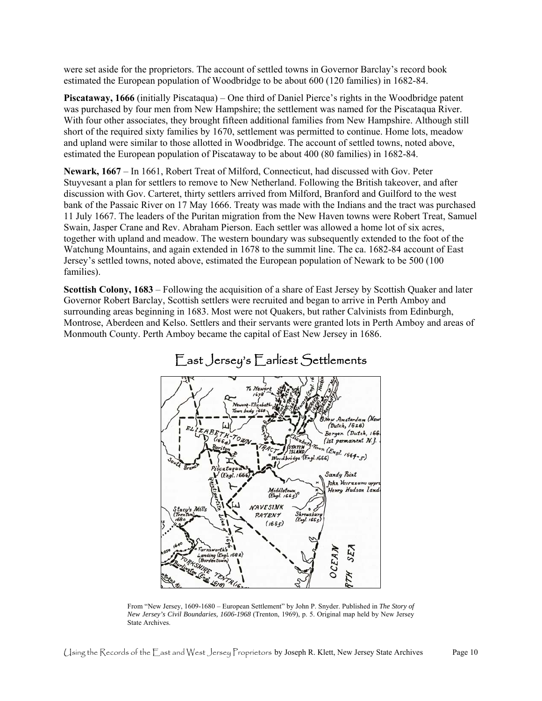were set aside for the proprietors. The account of settled towns in Governor Barclay's record book estimated the European population of Woodbridge to be about 600 (120 families) in 1682-84.

 **Piscataway, 1666** (initially Piscataqua) – One third of Daniel Pierce's rights in the Woodbridge patent short of the required sixty families by 1670, settlement was permitted to continue. Home lots, meadow was purchased by four men from New Hampshire; the settlement was named for the Piscataqua River. With four other associates, they brought fifteen additional families from New Hampshire. Although still and upland were similar to those allotted in Woodbridge. The account of settled towns, noted above, estimated the European population of Piscataway to be about 400 (80 families) in 1682-84.

**Newark, 1667** – In 1661, Robert Treat of Milford, Connecticut, had discussed with Gov. Peter Stuyvesant a plan for settlers to remove to New Netherland. Following the British takeover, and after discussion with Gov. Carteret, thirty settlers arrived from Milford, Branford and Guilford to the west bank of the Passaic River on 17 May 1666. Treaty was made with the Indians and the tract was purchased 11 July 1667. The leaders of the Puritan migration from the New Haven towns were Robert Treat, Samuel Swain, Jasper Crane and Rev. Abraham Pierson. Each settler was allowed a home lot of six acres, together with upland and meadow. The western boundary was subsequently extended to the foot of the Watchung Mountains, and again extended in 1678 to the summit line. The ca. 1682-84 account of East Jersey's settled towns, noted above, estimated the European population of Newark to be 500 (100 families).

**Scottish Colony, 1683** – Following the acquisition of a share of East Jersey by Scottish Quaker and later Governor Robert Barclay, Scottish settlers were recruited and began to arrive in Perth Amboy and surrounding areas beginning in 1683. Most were not Quakers, but rather Calvinists from Edinburgh, Montrose, Aberdeen and Kelso. Settlers and their servants were granted lots in Perth Amboy and areas of Monmouth County. Perth Amboy became the capital of East New Jersey in 1686.



### East Jersey's Earliest Settlements

 From "New Jersey, 1609-1680 – European Settlement" by John P. Snyder. Published in *The Story of New Jersey's Civil Boundaries, 1606-1968* (Trenton, 1969), p. 5. Original map held by New Jersey State Archives.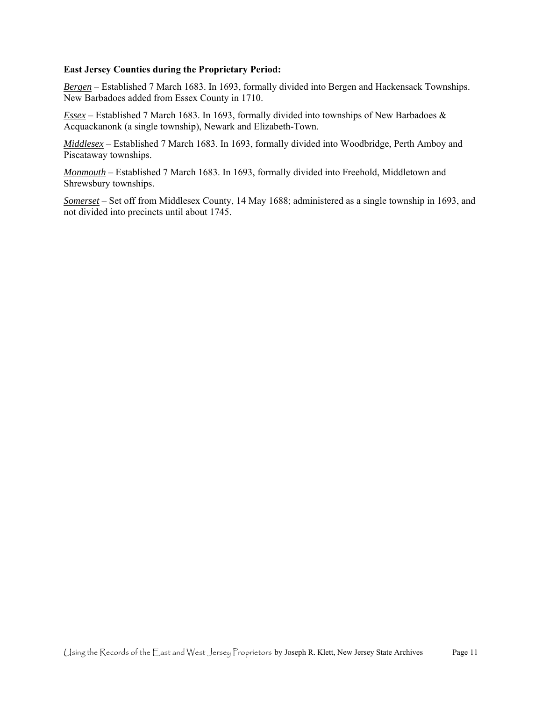#### **East Jersey Counties during the Proprietary Period:**

*Bergen* – Established 7 March 1683. In 1693, formally divided into Bergen and Hackensack Townships. New Barbadoes added from Essex County in 1710.

*Essex* – Established 7 March 1683. In 1693, formally divided into townships of New Barbadoes & Acquackanonk (a single township), Newark and Elizabeth-Town.

*Middlesex* – Established 7 March 1683. In 1693, formally divided into Woodbridge, Perth Amboy and Piscataway townships.

*Monmouth* – Established 7 March 1683. In 1693, formally divided into Freehold, Middletown and Shrewsbury townships.

*Somerset* – Set off from Middlesex County, 14 May 1688; administered as a single township in 1693, and not divided into precincts until about 1745.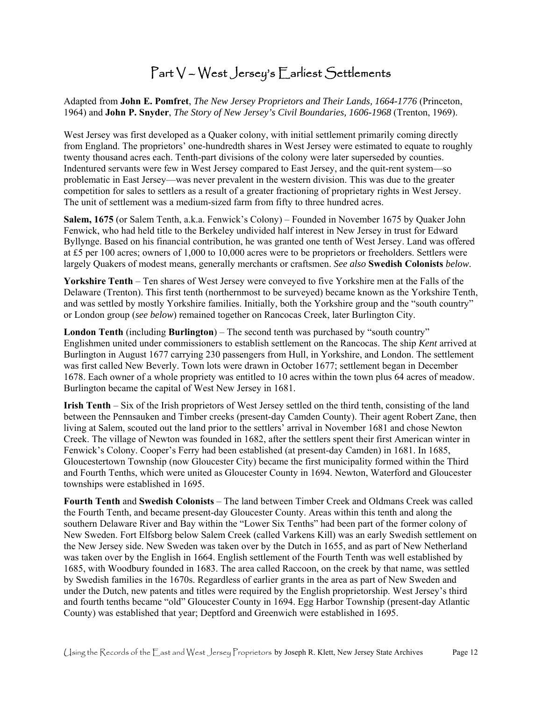### Part V – West Jersey's Earliest Settlements

Adapted from **John E. Pomfret**, *The New Jersey Proprietors and Their Lands, 1664-1776* (Princeton, 1964) and **John P. Snyder**, *The Story of New Jersey's Civil Boundaries, 1606-1968* (Trenton, 1969).

 Indentured servants were few in West Jersey compared to East Jersey, and the quit-rent system—so West Jersey was first developed as a Quaker colony, with initial settlement primarily coming directly from England. The proprietors' one-hundredth shares in West Jersey were estimated to equate to roughly twenty thousand acres each. Tenth-part divisions of the colony were later superseded by counties. problematic in East Jersey—was never prevalent in the western division. This was due to the greater competition for sales to settlers as a result of a greater fractioning of proprietary rights in West Jersey. The unit of settlement was a medium-sized farm from fifty to three hundred acres.

**Salem, 1675** (or Salem Tenth, a.k.a. Fenwick's Colony) – Founded in November 1675 by Quaker John Fenwick, who had held title to the Berkeley undivided half interest in New Jersey in trust for Edward Byllynge. Based on his financial contribution, he was granted one tenth of West Jersey. Land was offered at £5 per 100 acres; owners of 1,000 to 10,000 acres were to be proprietors or freeholders. Settlers were largely Quakers of modest means, generally merchants or craftsmen. *See also* **Swedish Colonists** *below*.

 and was settled by mostly Yorkshire families. Initially, both the Yorkshire group and the "south country" **Yorkshire Tenth** – Ten shares of West Jersey were conveyed to five Yorkshire men at the Falls of the Delaware (Trenton). This first tenth (northernmost to be surveyed) became known as the Yorkshire Tenth, or London group (*see below*) remained together on Rancocas Creek, later Burlington City.

**London Tenth** (including **Burlington**) – The second tenth was purchased by "south country" Englishmen united under commissioners to establish settlement on the Rancocas. The ship *Kent* arrived at Burlington in August 1677 carrying 230 passengers from Hull, in Yorkshire, and London. The settlement was first called New Beverly. Town lots were drawn in October 1677; settlement began in December 1678. Each owner of a whole propriety was entitled to 10 acres within the town plus 64 acres of meadow. Burlington became the capital of West New Jersey in 1681.

 and Fourth Tenths, which were united as Gloucester County in 1694. Newton, Waterford and Gloucester **Irish Tenth** – Six of the Irish proprietors of West Jersey settled on the third tenth, consisting of the land between the Pennsauken and Timber creeks (present-day Camden County). Their agent Robert Zane, then living at Salem, scouted out the land prior to the settlers' arrival in November 1681 and chose Newton Creek. The village of Newton was founded in 1682, after the settlers spent their first American winter in Fenwick's Colony. Cooper's Ferry had been established (at present-day Camden) in 1681. In 1685, Gloucestertown Township (now Gloucester City) became the first municipality formed within the Third townships were established in 1695.

 southern Delaware River and Bay within the "Lower Six Tenths" had been part of the former colony of 1685, with Woodbury founded in 1683. The area called Raccoon, on the creek by that name, was settled by Swedish families in the 1670s. Regardless of earlier grants in the area as part of New Sweden and **Fourth Tenth** and **Swedish Colonists** – The land between Timber Creek and Oldmans Creek was called the Fourth Tenth, and became present-day Gloucester County. Areas within this tenth and along the New Sweden. Fort Elfsborg below Salem Creek (called Varkens Kill) was an early Swedish settlement on the New Jersey side. New Sweden was taken over by the Dutch in 1655, and as part of New Netherland was taken over by the English in 1664. English settlement of the Fourth Tenth was well established by under the Dutch, new patents and titles were required by the English proprietorship. West Jersey's third and fourth tenths became "old" Gloucester County in 1694. Egg Harbor Township (present-day Atlantic County) was established that year; Deptford and Greenwich were established in 1695.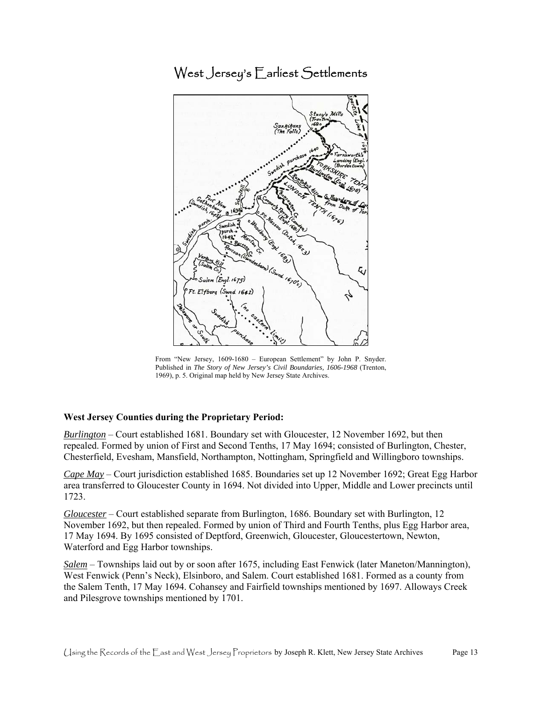West Jersey's Earliest Settlements



 From "New Jersey, 1609-1680 – European Settlement" by John P. Snyder. Published in *The Story of New Jersey's Civil Boundaries, 1606-1968* (Trenton, 1969), p. 5. Original map held by New Jersey State Archives.

#### **West Jersey Counties during the Proprietary Period:**

*Burlington* – Court established 1681. Boundary set with Gloucester, 12 November 1692, but then repealed. Formed by union of First and Second Tenths, 17 May 1694; consisted of Burlington, Chester, Chesterfield, Evesham, Mansfield, Northampton, Nottingham, Springfield and Willingboro townships.

 area transferred to Gloucester County in 1694. Not divided into Upper, Middle and Lower precincts until *Cape May* – Court jurisdiction established 1685. Boundaries set up 12 November 1692; Great Egg Harbor 1723.

*Gloucester* – Court established separate from Burlington, 1686. Boundary set with Burlington, 12 November 1692, but then repealed. Formed by union of Third and Fourth Tenths, plus Egg Harbor area, 17 May 1694. By 1695 consisted of Deptford, Greenwich, Gloucester, Gloucestertown, Newton, Waterford and Egg Harbor townships.

 West Fenwick (Penn's Neck), Elsinboro, and Salem. Court established 1681. Formed as a county from *Salem* – Townships laid out by or soon after 1675, including East Fenwick (later Maneton/Mannington), the Salem Tenth, 17 May 1694. Cohansey and Fairfield townships mentioned by 1697. Alloways Creek and Pilesgrove townships mentioned by 1701.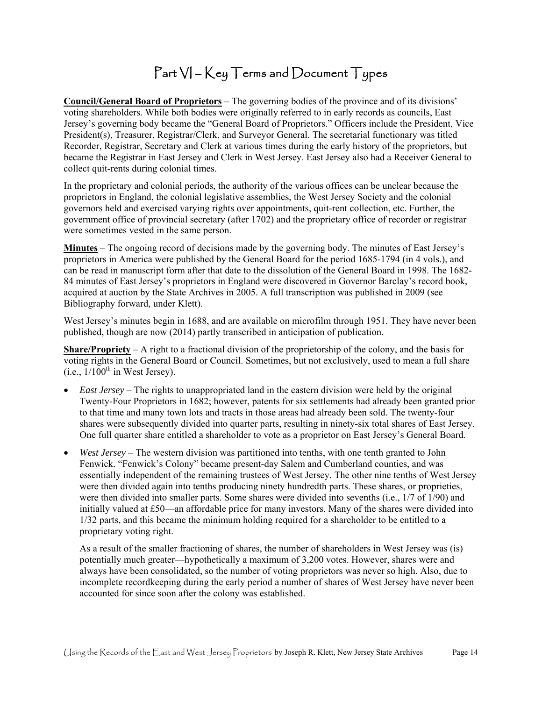### $Part V - Key Terms and Document Types$

**Council/General Board of Proprietors** – The governing bodies of the province and of its divisions' voting shareholders. While both bodies were originally referred to in early records as councils, East Jersey's governing body became the "General Board of Proprietors." Officers include the President, Vice President(s), Treasurer, Registrar/Clerk, and Surveyor General. The secretarial functionary was titled Recorder, Registrar, Secretary and Clerk at various times during the early history of the proprietors, but became the Registrar in East Jersey and Clerk in West Jersey. East Jersey also had a Receiver General to collect quit-rents during colonial times.

 proprietors in England, the colonial legislative assemblies, the West Jersey Society and the colonial In the proprietary and colonial periods, the authority of the various offices can be unclear because the governors held and exercised varying rights over appointments, quit-rent collection, etc. Further, the government office of provincial secretary (after 1702) and the proprietary office of recorder or registrar were sometimes vested in the same person.

 can be read in manuscript form after that date to the dissolution of the General Board in 1998. The 1682- **Minutes** – The ongoing record of decisions made by the governing body. The minutes of East Jersey's proprietors in America were published by the General Board for the period 1685-1794 (in 4 vols.), and 84 minutes of East Jersey's proprietors in England were discovered in Governor Barclay's record book, acquired at auction by the State Archives in 2005. A full transcription was published in 2009 (see Bibliography forward, under Klett).

West Jersey's minutes begin in 1688, and are available on microfilm through 1951. They have never been published, though are now (2014) partly transcribed in anticipation of publication.

**Share/Propriety** – A right to a fractional division of the proprietorship of the colony, and the basis for voting rights in the General Board or Council. Sometimes, but not exclusively, used to mean a full share  $(i.e., 1/100<sup>th</sup>$  in West Jersey).

- shares were subsequently divided into quarter parts, resulting in ninety-six total shares of East Jersey. *East Jersey* – The rights to unappropriated land in the eastern division were held by the original Twenty-Four Proprietors in 1682; however, patents for six settlements had already been granted prior to that time and many town lots and tracts in those areas had already been sold. The twenty-four One full quarter share entitled a shareholder to vote as a proprietor on East Jersey's General Board.
- *West Jersey*  The western division was partitioned into tenths, with one tenth granted to John were then divided again into tenths producing ninety hundredth parts. These shares, or proprieties, Fenwick. "Fenwick's Colony" became present-day Salem and Cumberland counties, and was essentially independent of the remaining trustees of West Jersey. The other nine tenths of West Jersey were then divided into smaller parts. Some shares were divided into sevenths (i.e., 1/7 of 1/90) and initially valued at £50—an affordable price for many investors. Many of the shares were divided into 1/32 parts, and this became the minimum holding required for a shareholder to be entitled to a proprietary voting right.

As a result of the smaller fractioning of shares, the number of shareholders in West Jersey was (is) potentially much greater—hypothetically a maximum of 3,200 votes. However, shares were and always have been consolidated, so the number of voting proprietors was never so high. Also, due to incomplete recordkeeping during the early period a number of shares of West Jersey have never been accounted for since soon after the colony was established.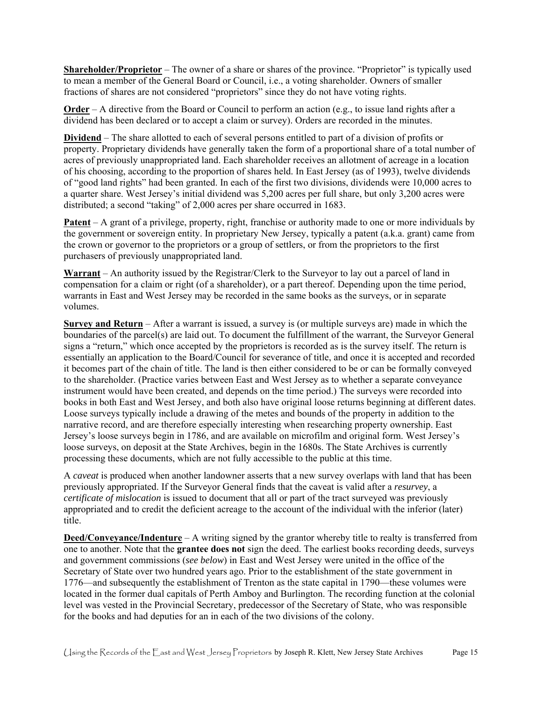**Shareholder/Proprietor** – The owner of a share or shares of the province. "Proprietor" is typically used to mean a member of the General Board or Council, i.e., a voting shareholder. Owners of smaller fractions of shares are not considered "proprietors" since they do not have voting rights.

**Order** – A directive from the Board or Council to perform an action (e.g., to issue land rights after a dividend has been declared or to accept a claim or survey). Orders are recorded in the minutes.

 property. Proprietary dividends have generally taken the form of a proportional share of a total number of **Dividend** – The share allotted to each of several persons entitled to part of a division of profits or acres of previously unappropriated land. Each shareholder receives an allotment of acreage in a location of his choosing, according to the proportion of shares held. In East Jersey (as of 1993), twelve dividends of "good land rights" had been granted. In each of the first two divisions, dividends were 10,000 acres to a quarter share. West Jersey's initial dividend was 5,200 acres per full share, but only 3,200 acres were distributed; a second "taking" of 2,000 acres per share occurred in 1683.

 the government or sovereign entity. In proprietary New Jersey, typically a patent (a.k.a. grant) came from **Patent** – A grant of a privilege, property, right, franchise or authority made to one or more individuals by the crown or governor to the proprietors or a group of settlers, or from the proprietors to the first purchasers of previously unappropriated land.

 warrants in East and West Jersey may be recorded in the same books as the surveys, or in separate **Warrant** – An authority issued by the Registrar/Clerk to the Surveyor to lay out a parcel of land in compensation for a claim or right (of a shareholder), or a part thereof. Depending upon the time period, volumes.

 Jersey's loose surveys begin in 1786, and are available on microfilm and original form. West Jersey's **Survey and Return** – After a warrant is issued, a survey is (or multiple surveys are) made in which the boundaries of the parcel(s) are laid out. To document the fulfillment of the warrant, the Surveyor General signs a "return," which once accepted by the proprietors is recorded as is the survey itself. The return is essentially an application to the Board/Council for severance of title, and once it is accepted and recorded it becomes part of the chain of title. The land is then either considered to be or can be formally conveyed to the shareholder. (Practice varies between East and West Jersey as to whether a separate conveyance instrument would have been created, and depends on the time period.) The surveys were recorded into books in both East and West Jersey, and both also have original loose returns beginning at different dates. Loose surveys typically include a drawing of the metes and bounds of the property in addition to the narrative record, and are therefore especially interesting when researching property ownership. East loose surveys, on deposit at the State Archives, begin in the 1680s. The State Archives is currently processing these documents, which are not fully accessible to the public at this time.

A *caveat* is produced when another landowner asserts that a new survey overlaps with land that has been previously appropriated. If the Surveyor General finds that the caveat is valid after a *resurvey*, a *certificate of mislocation* is issued to document that all or part of the tract surveyed was previously appropriated and to credit the deficient acreage to the account of the individual with the inferior (later) title.

**Deed/Conveyance/Indenture** – A writing signed by the grantor whereby title to realty is transferred from one to another. Note that the **grantee does not** sign the deed. The earliest books recording deeds, surveys and government commissions (*see below*) in East and West Jersey were united in the office of the Secretary of State over two hundred years ago. Prior to the establishment of the state government in 1776—and subsequently the establishment of Trenton as the state capital in 1790—these volumes were located in the former dual capitals of Perth Amboy and Burlington. The recording function at the colonial level was vested in the Provincial Secretary, predecessor of the Secretary of State, who was responsible for the books and had deputies for an in each of the two divisions of the colony.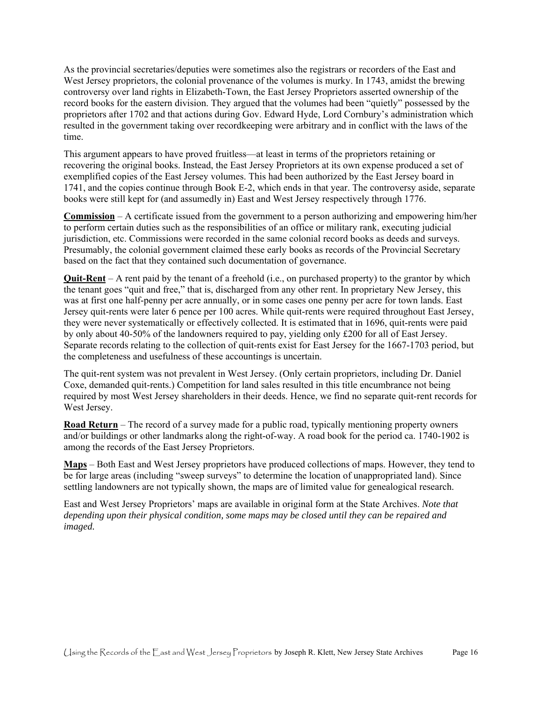West Jersey proprietors, the colonial provenance of the volumes is murky. In 1743, amidst the brewing As the provincial secretaries/deputies were sometimes also the registrars or recorders of the East and controversy over land rights in Elizabeth-Town, the East Jersey Proprietors asserted ownership of the record books for the eastern division. They argued that the volumes had been "quietly" possessed by the proprietors after 1702 and that actions during Gov. Edward Hyde, Lord Cornbury's administration which resulted in the government taking over recordkeeping were arbitrary and in conflict with the laws of the time.

 books were still kept for (and assumedly in) East and West Jersey respectively through 1776. This argument appears to have proved fruitless—at least in terms of the proprietors retaining or recovering the original books. Instead, the East Jersey Proprietors at its own expense produced a set of exemplified copies of the East Jersey volumes. This had been authorized by the East Jersey board in 1741, and the copies continue through Book E-2, which ends in that year. The controversy aside, separate

**Commission** – A certificate issued from the government to a person authorizing and empowering him/her to perform certain duties such as the responsibilities of an office or military rank, executing judicial jurisdiction, etc. Commissions were recorded in the same colonial record books as deeds and surveys. Presumably, the colonial government claimed these early books as records of the Provincial Secretary based on the fact that they contained such documentation of governance.

 the tenant goes "quit and free," that is, discharged from any other rent. In proprietary New Jersey, this **Quit-Rent** – A rent paid by the tenant of a freehold (i.e., on purchased property) to the grantor by which was at first one half-penny per acre annually, or in some cases one penny per acre for town lands. East Jersey quit-rents were later 6 pence per 100 acres. While quit-rents were required throughout East Jersey, they were never systematically or effectively collected. It is estimated that in 1696, quit-rents were paid by only about 40-50% of the landowners required to pay, yielding only £200 for all of East Jersey. Separate records relating to the collection of quit-rents exist for East Jersey for the 1667-1703 period, but the completeness and usefulness of these accountings is uncertain.

 The quit-rent system was not prevalent in West Jersey. (Only certain proprietors, including Dr. Daniel Coxe, demanded quit-rents.) Competition for land sales resulted in this title encumbrance not being required by most West Jersey shareholders in their deeds. Hence, we find no separate quit-rent records for West Jersey.

**Road Return** – The record of a survey made for a public road, typically mentioning property owners and/or buildings or other landmarks along the right-of-way. A road book for the period ca. 1740-1902 is among the records of the East Jersey Proprietors.

 **Maps** – Both East and West Jersey proprietors have produced collections of maps. However, they tend to settling landowners are not typically shown, the maps are of limited value for genealogical research. be for large areas (including "sweep surveys" to determine the location of unappropriated land). Since

 East and West Jersey Proprietors' maps are available in original form at the State Archives. *Note that depending upon their physical condition, some maps may be closed until they can be repaired and imaged.*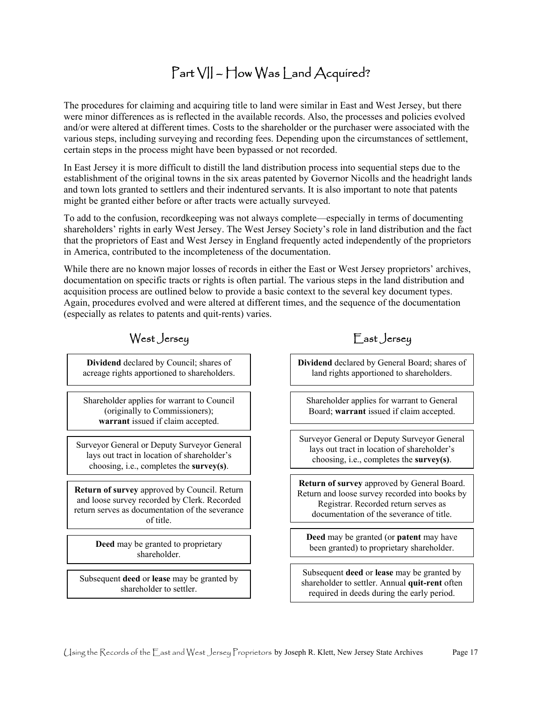### Part VII – How Was Land Acquired?

 were minor differences as is reflected in the available records. Also, the processes and policies evolved The procedures for claiming and acquiring title to land were similar in East and West Jersey, but there and/or were altered at different times. Costs to the shareholder or the purchaser were associated with the various steps, including surveying and recording fees. Depending upon the circumstances of settlement, certain steps in the process might have been bypassed or not recorded.

In East Jersey it is more difficult to distill the land distribution process into sequential steps due to the establishment of the original towns in the six areas patented by Governor Nicolls and the headright lands and town lots granted to settlers and their indentured servants. It is also important to note that patents might be granted either before or after tracts were actually surveyed.

To add to the confusion, recordkeeping was not always complete—especially in terms of documenting shareholders' rights in early West Jersey. The West Jersey Society's role in land distribution and the fact that the proprietors of East and West Jersey in England frequently acted independently of the proprietors in America, contributed to the incompleteness of the documentation.

 While there are no known major losses of records in either the East or West Jersey proprietors' archives, (especially as relates to patents and quit-rents) varies. documentation on specific tracts or rights is often partial. The various steps in the land distribution and acquisition process are outlined below to provide a basic context to the several key document types. Again, procedures evolved and were altered at different times, and the sequence of the documentation

### **warrant** issued if claim accepted. Surveyor General or Deputy Surveyor General lays out tract in location of shareholder's **Return of survey** approved by Council. Return and loose survey recorded by Clerk. Recorded **Deed** may be granted to proprietary **Dividend** declared by Council; shares of **Dividend** declared by General Board; shares of acreage rights apportioned to shareholders.  $\parallel$  land rights apportioned to shareholders. Shareholder applies for warrant to Council (originally to Commissioners); Board; **warrant** issued if claim accepted. choosing, i.e., completes the **survey(s)**. return serves as documentation of the severance of title. shareholder.

 Subsequent **deed** or **lease** may be granted by shareholder to settler.

### West Jersey East Jersey

Shareholder applies for warrant to General

 Surveyor General or Deputy Surveyor General lays out tract in location of shareholder's choosing, i.e., completes the **survey(s)**.

 **Return of survey** approved by General Board. Registrar. Recorded return serves as Return and loose survey recorded into books by documentation of the severance of title.

 **Deed** may be granted (or **patent** may have been granted) to proprietary shareholder.

 Subsequent **deed** or **lease** may be granted by required in deeds during the early period. shareholder to settler. Annual **quit-rent** often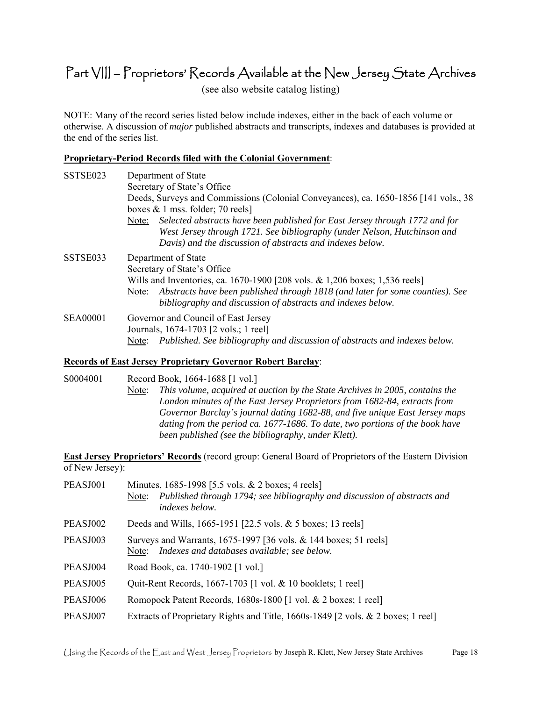### Part VIII – Proprietors' Records Available at the New Jersey State Archives

(see also website catalog listing)

NOTE: Many of the record series listed below include indexes, either in the back of each volume or otherwise. A discussion of *major* published abstracts and transcripts, indexes and databases is provided at the end of the series list.

#### **Proprietary-Period Records filed with the Colonial Government**:

| SSTSE023        | Department of State                                                                                                                                                                                                                                                                        |
|-----------------|--------------------------------------------------------------------------------------------------------------------------------------------------------------------------------------------------------------------------------------------------------------------------------------------|
|                 | Secretary of State's Office                                                                                                                                                                                                                                                                |
|                 | Deeds, Surveys and Commissions (Colonial Conveyances), ca. 1650-1856 [141 vols., 38<br>boxes $& 1$ mss. folder; 70 reels]                                                                                                                                                                  |
|                 | Selected abstracts have been published for East Jersey through 1772 and for<br>Note:<br>West Jersey through 1721. See bibliography (under Nelson, Hutchinson and<br>Davis) and the discussion of abstracts and indexes below.                                                              |
| SSTSE033        | Department of State<br>Secretary of State's Office<br>Wills and Inventories, ca. 1670-1900 [208 vols. & 1,206 boxes; 1,536 reels]<br>Abstracts have been published through 1818 (and later for some counties). See<br>Note:<br>bibliography and discussion of abstracts and indexes below. |
| <b>SEA00001</b> | Governor and Council of East Jersey<br>Journals, 1674-1703 [2 vols.; 1 reel]<br>Published. See bibliography and discussion of abstracts and indexes below.<br>Note:                                                                                                                        |

#### **Records of East Jersey Proprietary Governor Robert Barclay**:

S0004001 Record Book, 1664-1688 [1 vol.]

Note: *This volume, acquired at auction by the State Archives in 2005, contains the London minutes of the East Jersey Proprietors from 1682-84, extracts from Governor Barclay's journal dating 1682-88, and five unique East Jersey maps dating from the period ca. 1677-1686. To date, two portions of the book have been published (see the bibliography, under Klett).* 

**East Jersey Proprietors' Records** (record group: General Board of Proprietors of the Eastern Division of New Jersey):

| PEASJ001 | Minutes, 1685-1998 [5.5 vols. & 2 boxes; 4 reels]<br>Published through 1794; see bibliography and discussion of abstracts and<br>Note:<br><i>indexes below.</i> |
|----------|-----------------------------------------------------------------------------------------------------------------------------------------------------------------|
| PEASJ002 | Deeds and Wills, 1665-1951 [22.5 vols. & 5 boxes; 13 reels]                                                                                                     |
| PEASJ003 | Surveys and Warrants, 1675-1997 [36 vols. & 144 boxes; 51 reels]<br>Indexes and databases available; see below.<br>Note:                                        |
| PEASJ004 | Road Book, ca. 1740-1902 [1 vol.]                                                                                                                               |
| PEASJ005 | Quit-Rent Records, 1667-1703 [1 vol. & 10 booklets; 1 reel]                                                                                                     |
| PEASJ006 | Romopock Patent Records, 1680s-1800 [1 vol. & 2 boxes; 1 reel]                                                                                                  |
| PEASJ007 | Extracts of Proprietary Rights and Title, 1660s-1849 [2 vols. & 2 boxes; 1 reel]                                                                                |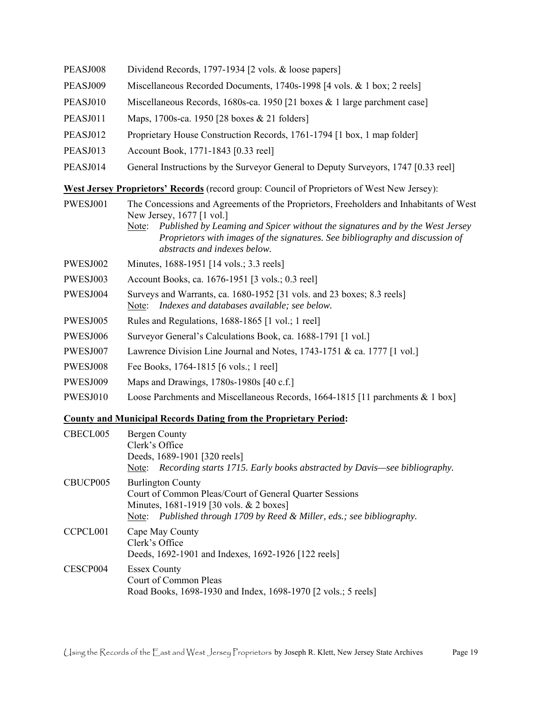PWESJ006 Surveyor General's Calculations Book, ca. 1688-1791 [1 vol.] PEASJ008 Dividend Records, 1797-1934 [2 vols. & loose papers] PEASJ009 Miscellaneous Recorded Documents, 1740s-1998 [4 vols. & 1 box; 2 reels] PEASJ010 Miscellaneous Records, 1680s-ca. 1950 [21 boxes & 1 large parchment case] PEASJ011 Maps, 1700s-ca. 1950 [28 boxes & 21 folders] PEASJ012 Proprietary House Construction Records, 1761-1794 [1 box, 1 map folder] PEASJ013 Account Book, 1771-1843 [0.33 reel] PEASJ014 General Instructions by the Surveyor General to Deputy Surveyors, 1747 [0.33 reel] **West Jersey Proprietors' Records** (record group: Council of Proprietors of West New Jersey): PWESJ001 The Concessions and Agreements of the Proprietors, Freeholders and Inhabitants of West New Jersey, 1677 [1 vol.] Note: *Published by Leaming and Spicer without the signatures and by the West Jersey Proprietors with images of the signatures. See bibliography and discussion of abstracts and indexes below.*  PWESJ002 Minutes, 1688-1951 [14 vols.; 3.3 reels] PWESJ003 Account Books, ca. 1676-1951 [3 vols.; 0.3 reel] PWESJ004 Surveys and Warrants, ca. 1680-1952 [31 vols. and 23 boxes; 8.3 reels] Note: *Indexes and databases available; see below.*  PWESJ005 Rules and Regulations, 1688-1865 [1 vol.; 1 reel] PWESJ007 Lawrence Division Line Journal and Notes, 1743-1751 & ca. 1777 [1 vol.] PWESJ008 Fee Books, 1764-1815 [6 vols.; 1 reel] PWESJ009 Maps and Drawings, 1780s-1980s [40 c.f.] PWESJ010 Loose Parchments and Miscellaneous Records, 1664-1815 [11 parchments & 1 box]

#### **County and Municipal Records Dating from the Proprietary Period:**

| CBECL005 | Bergen County<br>Clerk's Office<br>Deeds, 1689-1901 [320 reels]<br>Note: Recording starts 1715. Early books abstracted by Davis—see bibliography.                                                        |
|----------|----------------------------------------------------------------------------------------------------------------------------------------------------------------------------------------------------------|
| CBUCP005 | <b>Burlington County</b><br>Court of Common Pleas/Court of General Quarter Sessions<br>Minutes, 1681-1919 [30 vols. & 2 boxes]<br>Note: Published through 1709 by Reed & Miller, eds.; see bibliography. |
| CCPCL001 | Cape May County<br>Clerk's Office<br>Deeds, 1692-1901 and Indexes, 1692-1926 [122 reels]                                                                                                                 |
| CESCP004 | <b>Essex County</b><br>Court of Common Pleas<br>Road Books, 1698-1930 and Index, 1698-1970 [2 vols.; 5 reels]                                                                                            |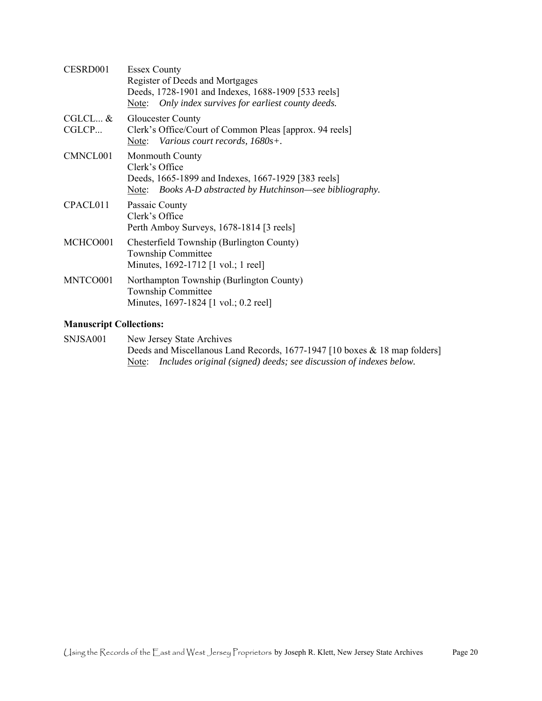| CESRD001           | <b>Essex County</b><br>Register of Deeds and Mortgages<br>Deeds, 1728-1901 and Indexes, 1688-1909 [533 reels]<br>Only index survives for earliest county deeds.<br>Note: |
|--------------------|--------------------------------------------------------------------------------------------------------------------------------------------------------------------------|
| $CGLCL$ &<br>CGLCP | <b>Gloucester County</b><br>Clerk's Office/Court of Common Pleas [approx. 94 reels]<br>Note: Various court records, 1680s+.                                              |
| CMNCL001           | <b>Monmouth County</b><br>Clerk's Office<br>Deeds, 1665-1899 and Indexes, 1667-1929 [383 reels]<br>Books A-D abstracted by Hutchinson—see bibliography.<br>Note:         |
| CPACL011           | Passaic County<br>Clerk's Office<br>Perth Amboy Surveys, 1678-1814 [3 reels]                                                                                             |
| MCHCO001           | Chesterfield Township (Burlington County)<br>Township Committee<br>Minutes, 1692-1712 [1 vol.; 1 reel]                                                                   |
| MNTCO001           | Northampton Township (Burlington County)<br>Township Committee<br>Minutes, 1697-1824 [1 vol.; 0.2 reel]                                                                  |

#### **Manuscript Collections:**

SNJSA001 New Jersey State Archives Deeds and Miscellanous Land Records, 1677-1947 [10 boxes & 18 map folders] Note: *Includes original (signed) deeds; see discussion of indexes below.*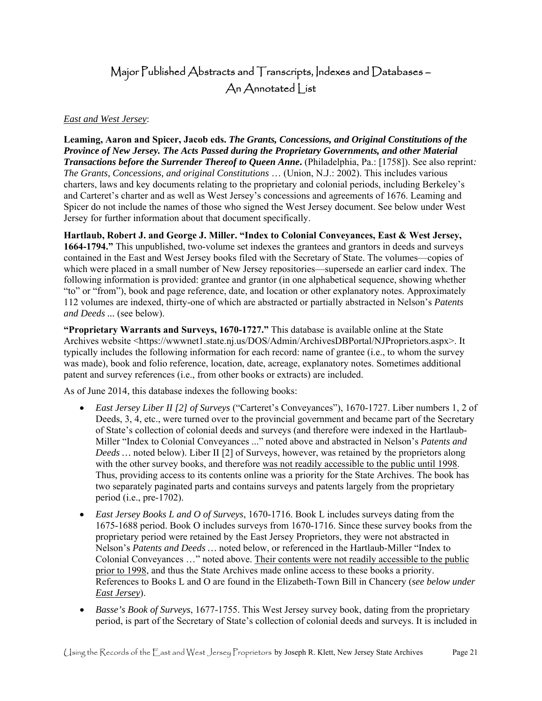### Major Published Abstracts and Transcripts, Indexes and Databases – An Annotated | ist

#### *East and West Jersey*:

**Leaming, Aaron and Spicer, Jacob eds.** *The Grants, Concessions, and Original Constitutions of the Province of New Jersey. The Acts Passed during the Proprietary Governments, and other Material Transactions before the Surrender Thereof to Queen Anne***.** (Philadelphia, Pa.: [1758]). See also reprint*: The Grants, Concessions, and original Constitutions* … (Union, N.J.: 2002). This includes various charters, laws and key documents relating to the proprietary and colonial periods, including Berkeley's and Carteret's charter and as well as West Jersey's concessions and agreements of 1676. Leaming and Spicer do not include the names of those who signed the West Jersey document. See below under West Jersey for further information about that document specifically.

 which were placed in a small number of New Jersey repositories—supersede an earlier card index. The **Hartlaub, Robert J. and George J. Miller. "Index to Colonial Conveyances, East & West Jersey, 1664-1794."** This unpublished, two-volume set indexes the grantees and grantors in deeds and surveys contained in the East and West Jersey books filed with the Secretary of State. The volumes—copies of following information is provided: grantee and grantor (in one alphabetical sequence, showing whether "to" or "from"), book and page reference, date, and location or other explanatory notes. Approximately 112 volumes are indexed, thirty-one of which are abstracted or partially abstracted in Nelson's *Patents and Deeds ...* (see below).

**"Proprietary Warrants and Surveys, 1670-1727."** This database is available online at the State Archives website [<https://wwwnet1.state.nj.us/DOS/Admin/ArchivesDBPortal/NJProprietors.aspx](https://wwwnet1.state.nj.us/DOS/Admin/ArchivesDBPortal/NJProprietors.aspx)>. It typically includes the following information for each record: name of grantee (i.e., to whom the survey was made), book and folio reference, location, date, acreage, explanatory notes. Sometimes additional patent and survey references (i.e., from other books or extracts) are included.

As of June 2014, this database indexes the following books:

- *East Jersey Liber II [2] of Surveys* ("Carteret's Conveyances"), 1670-1727. Liber numbers 1, 2 of Deeds, 3, 4, etc., were turned over to the provincial government and became part of the Secretary of State's collection of colonial deeds and surveys (and therefore were indexed in the Hartlaub-Miller "Index to Colonial Conveyances ..." noted above and abstracted in Nelson's *Patents and Deeds …* noted below). Liber II [2] of Surveys, however, was retained by the proprietors along with the other survey books, and therefore was not readily accessible to the public until 1998. Thus, providing access to its contents online was a priority for the State Archives. The book has two separately paginated parts and contains surveys and patents largely from the proprietary period (i.e., pre-1702).
- 1675-1688 period. Book O includes surveys from 1670-1716. Since these survey books from the References to Books L and O are found in the Elizabeth-Town Bill in Chancery (*see below under East Jersey Books L and O of Surveys*, 1670-1716. Book L includes surveys dating from the proprietary period were retained by the East Jersey Proprietors, they were not abstracted in Nelson's *Patents and Deeds …* noted below, or referenced in the Hartlaub-Miller "Index to Colonial Conveyances …" noted above. Their contents were not readily accessible to the public prior to 1998, and thus the State Archives made online access to these books a priority. *East Jersey*).
- *Basse's Book of Surveys*, 1677-1755. This West Jersey survey book, dating from the proprietary period, is part of the Secretary of State's collection of colonial deeds and surveys. It is included in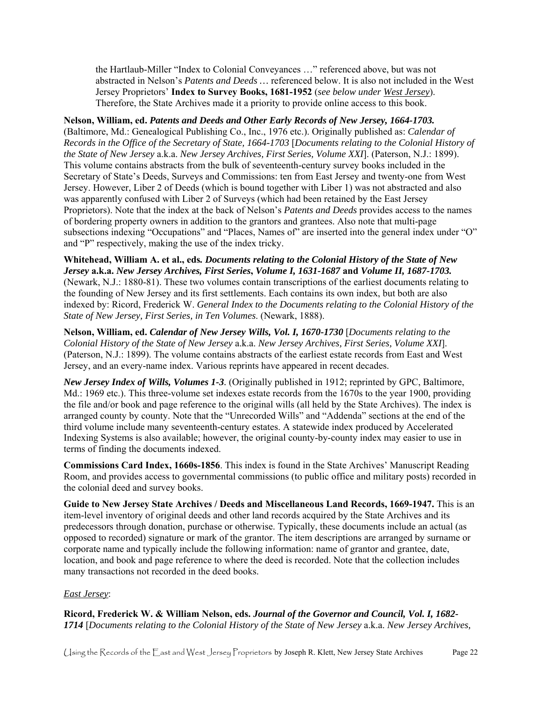Jersey Proprietors' **Index to Survey Books, 1681-1952** (*see below under West Jersey*). Therefore, the State Archives made it a priority to provide online access to this book. the Hartlaub-Miller "Index to Colonial Conveyances …" referenced above, but was not abstracted in Nelson's *Patents and Deeds …* referenced below. It is also not included in the West

#### **Nelson, William, ed.** *Patents and Deeds and Other Early Records of New Jersey, 1664-1703.*

 *the State of New Jersey* a.k.a. *New Jersey Archives, First Series, Volume XXI*]. (Paterson, N.J.: 1899). Secretary of State's Deeds, Surveys and Commissions: ten from East Jersey and twenty-one from West (Baltimore, Md.: Genealogical Publishing Co., Inc., 1976 etc.). Originally published as: *Calendar of Records in the Office of the Secretary of State, 1664-1703* [*Documents relating to the Colonial History of*  This volume contains abstracts from the bulk of seventeenth-century survey books included in the Jersey. However, Liber 2 of Deeds (which is bound together with Liber 1) was not abstracted and also was apparently confused with Liber 2 of Surveys (which had been retained by the East Jersey Proprietors). Note that the index at the back of Nelson's *Patents and Deeds* provides access to the names of bordering property owners in addition to the grantors and grantees. Also note that multi-page subsections indexing "Occupations" and "Places, Names of" are inserted into the general index under "O" and "P" respectively, making the use of the index tricky.

**Whitehead, William A. et al., eds***. Documents relating to the Colonial History of the State of New Jersey* **a.k.a.** *New Jersey Archives, First Series***,** *Volume I, 1631-1687* **and** *Volume II, 1687-1703.*  (Newark, N.J.: 1880-81). These two volumes contain transcriptions of the earliest documents relating to the founding of New Jersey and its first settlements. Each contains its own index, but both are also indexed by: Ricord, Frederick W. *General Index to the Documents relating to the Colonial History of the State of New Jersey, First Series, in Ten Volumes*. (Newark, 1888).

**Nelson, William, ed.** *Calendar of New Jersey Wills, Vol. I, 1670-1730* [*Documents relating to the Colonial History of the State of New Jersey* a.k.a. *New Jersey Archives, First Series, Volume XXI*]. (Paterson, N.J.: 1899). The volume contains abstracts of the earliest estate records from East and West Jersey, and an every-name index. Various reprints have appeared in recent decades.

 Indexing Systems is also available; however, the original county-by-county index may easier to use in *New Jersey Index of Wills, Volumes 1-3.* (Originally published in 1912; reprinted by GPC, Baltimore, Md.: 1969 etc.). This three-volume set indexes estate records from the 1670s to the year 1900, providing the file and/or book and page reference to the original wills (all held by the State Archives). The index is arranged county by county. Note that the "Unrecorded Wills" and "Addenda" sections at the end of the third volume include many seventeenth-century estates. A statewide index produced by Accelerated terms of finding the documents indexed.

**Commissions Card Index, 1660s-1856**. This index is found in the State Archives' Manuscript Reading Room, and provides access to governmental commissions (to public office and military posts) recorded in the colonial deed and survey books.

**Guide to New Jersey State Archives / Deeds and Miscellaneous Land Records, 1669-1947.** This is an item-level inventory of original deeds and other land records acquired by the State Archives and its predecessors through donation, purchase or otherwise. Typically, these documents include an actual (as opposed to recorded) signature or mark of the grantor. The item descriptions are arranged by surname or corporate name and typically include the following information: name of grantor and grantee, date, location, and book and page reference to where the deed is recorded. Note that the collection includes many transactions not recorded in the deed books.

#### *East Jersey*:

**Ricord, Frederick W. & William Nelson, eds.** *Journal of the Governor and Council, Vol. I, 1682- 1714* [*Documents relating to the Colonial History of the State of New Jersey* a.k.a. *New Jersey Archives,*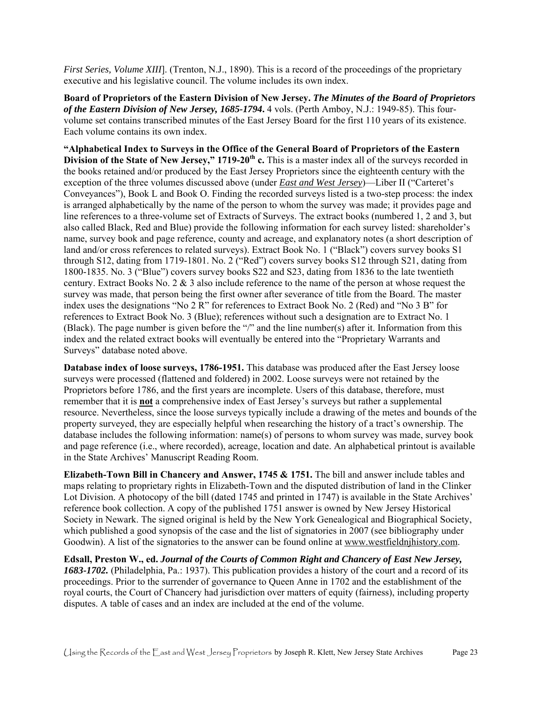*First Series, Volume XIII*]. (Trenton, N.J., 1890). This is a record of the proceedings of the proprietary executive and his legislative council. The volume includes its own index.

**Board of Proprietors of the Eastern Division of New Jersey.** *The Minutes of the Board of Proprietors of the Eastern Division of New Jersey, 1685-1794***.** 4 vols. (Perth Amboy, N.J.: 1949-85). This fourvolume set contains transcribed minutes of the East Jersey Board for the first 110 years of its existence. Each volume contains its own index.

 Conveyances"), Book L and Book O. Finding the recorded surveys listed is a two-step process: the index is arranged alphabetically by the name of the person to whom the survey was made; it provides page and land and/or cross references to related surveys). Extract Book No. 1 ("Black") covers survey books S1 **"Alphabetical Index to Surveys in the Office of the General Board of Proprietors of the Eastern Division of the State of New Jersey," 1719-20th c.** This is a master index all of the surveys recorded in the books retained and/or produced by the East Jersey Proprietors since the eighteenth century with the exception of the three volumes discussed above (under *East and West Jersey*)—Liber II ("Carteret's line references to a three-volume set of Extracts of Surveys. The extract books (numbered 1, 2 and 3, but also called Black, Red and Blue) provide the following information for each survey listed: shareholder's name, survey book and page reference, county and acreage, and explanatory notes (a short description of through S12, dating from 1719-1801. No. 2 ("Red") covers survey books S12 through S21, dating from 1800-1835. No. 3 ("Blue") covers survey books S22 and S23, dating from 1836 to the late twentieth century. Extract Books No. 2 & 3 also include reference to the name of the person at whose request the survey was made, that person being the first owner after severance of title from the Board. The master index uses the designations "No 2 R" for references to Extract Book No. 2 (Red) and "No 3 B" for references to Extract Book No. 3 (Blue); references without such a designation are to Extract No. 1 (Black). The page number is given before the "/" and the line number(s) after it. Information from this index and the related extract books will eventually be entered into the "Proprietary Warrants and Surveys" database noted above.

 property surveyed, they are especially helpful when researching the history of a tract's ownership. The database includes the following information: name(s) of persons to whom survey was made, survey book **Database index of loose surveys, 1786-1951.** This database was produced after the East Jersey loose surveys were processed (flattened and foldered) in 2002. Loose surveys were not retained by the Proprietors before 1786, and the first years are incomplete. Users of this database, therefore, must remember that it is **not** a comprehensive index of East Jersey's surveys but rather a supplemental resource. Nevertheless, since the loose surveys typically include a drawing of the metes and bounds of the and page reference (i.e., where recorded), acreage, location and date. An alphabetical printout is available in the State Archives' Manuscript Reading Room.

 reference book collection. A copy of the published 1751 answer is owned by New Jersey Historical **Elizabeth-Town Bill in Chancery and Answer, 1745 & 1751.** The bill and answer include tables and maps relating to proprietary rights in Elizabeth-Town and the disputed distribution of land in the Clinker Lot Division. A photocopy of the bill (dated 1745 and printed in 1747) is available in the State Archives' Society in Newark. The signed original is held by the New York Genealogical and Biographical Society, which published a good synopsis of the case and the list of signatories in 2007 (see bibliography under Goodwin). A list of the signatories to the answer can be found online at<www.westfieldnjhistory.com>.

**Edsall, Preston W., ed.** *Journal of the Courts of Common Right and Chancery of East New Jersey, 1683-1702.* (Philadelphia, Pa.: 1937). This publication provides a history of the court and a record of its proceedings. Prior to the surrender of governance to Queen Anne in 1702 and the establishment of the royal courts, the Court of Chancery had jurisdiction over matters of equity (fairness), including property disputes. A table of cases and an index are included at the end of the volume.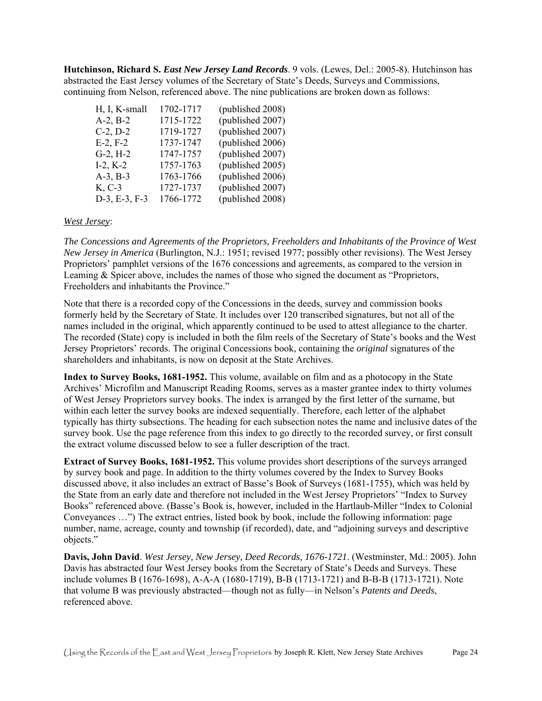abstracted the East Jersey volumes of the Secretary of State's Deeds, Surveys and Commissions, **Hutchinson, Richard S.** *East New Jersey Land Records*. 9 vols. (Lewes, Del.: 2005-8). Hutchinson has continuing from Nelson, referenced above. The nine publications are broken down as follows:

| H, I, K-small    | 1702-1717 | (published 2008) |
|------------------|-----------|------------------|
| $A-2, B-2$       | 1715-1722 | (published 2007) |
| $C-2, D-2$       | 1719-1727 | (published 2007) |
| $E-2, F-2$       | 1737-1747 | (published 2006) |
| $G-2, H-2$       | 1747-1757 | (published 2007) |
| $I-2, K-2$       | 1757-1763 | (published 2005) |
| $A-3$ , $B-3$    | 1763-1766 | (published 2006) |
| K, C-3           | 1727-1737 | (published 2007) |
| $D-3$ , E-3, F-3 | 1766-1772 | (published 2008) |
|                  |           |                  |

#### *West Jersey*:

*The Concessions and Agreements of the Proprietors, Freeholders and Inhabitants of the Province of West New Jersey in America* (Burlington, N.J.: 1951; revised 1977; possibly other revisions). The West Jersey Proprietors' pamphlet versions of the 1676 concessions and agreements, as compared to the version in Leaming & Spicer above, includes the names of those who signed the document as "Proprietors, Freeholders and inhabitants the Province."

 Note that there is a recorded copy of the Concessions in the deeds, survey and commission books formerly held by the Secretary of State. It includes over 120 transcribed signatures, but not all of the Jersey Proprietors' records. The original Concessions book, containing the *original* signatures of the names included in the original, which apparently continued to be used to attest allegiance to the charter. The recorded (State) copy is included in both the film reels of the Secretary of State's books and the West shareholders and inhabitants, is now on deposit at the State Archives.

 Archives' Microfilm and Manuscript Reading Rooms, serves as a master grantee index to thirty volumes of West Jersey Proprietors survey books. The index is arranged by the first letter of the surname, but typically has thirty subsections. The heading for each subsection notes the name and inclusive dates of the **Index to Survey Books, 1681-1952.** This volume, available on film and as a photocopy in the State within each letter the survey books are indexed sequentially. Therefore, each letter of the alphabet survey book. Use the page reference from this index to go directly to the recorded survey, or first consult the extract volume discussed below to see a fuller description of the tract.

 by survey book and page. In addition to the thirty volumes covered by the Index to Survey Books the State from an early date and therefore not included in the West Jersey Proprietors' "Index to Survey **Extract of Survey Books, 1681-1952.** This volume provides short descriptions of the surveys arranged discussed above, it also includes an extract of Basse's Book of Surveys (1681-1755), which was held by Books" referenced above. (Basse's Book is, however, included in the Hartlaub-Miller "Index to Colonial Conveyances …") The extract entries, listed book by book, include the following information: page number, name, acreage, county and township (if recorded), date, and "adjoining surveys and descriptive objects."

 Davis has abstracted four West Jersey books from the Secretary of State's Deeds and Surveys. These **Davis, John David**. *West Jersey, New Jersey, Deed Records, 1676-1721*. (Westminster, Md.: 2005). John include volumes B (1676-1698), A-A-A (1680-1719), B-B (1713-1721) and B-B-B (1713-1721). Note that volume B was previously abstracted—though not as fully—in Nelson's *Patents and Deeds*, referenced above.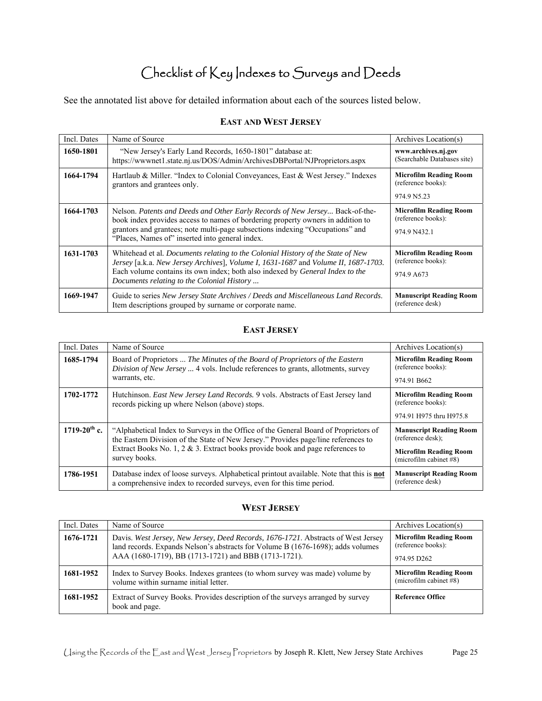# Checklist of Key Indexes to Surveys and Deeds

See the annotated list above for detailed information about each of the sources listed below.

#### **EAST AND WEST JERSEY**

| Incl. Dates | Name of Source                                                                                                                                                                                                                                                                                              | Archives Location(s)                                                |
|-------------|-------------------------------------------------------------------------------------------------------------------------------------------------------------------------------------------------------------------------------------------------------------------------------------------------------------|---------------------------------------------------------------------|
| 1650-1801   | "New Jersey's Early Land Records, 1650-1801" database at:<br>https://wwwnet1.state.nj.us/DOS/Admin/ArchivesDBPortal/NJProprietors.aspx                                                                                                                                                                      | www.archives.nj.gov<br>(Searchable Databases site)                  |
| 1664-1794   | Hartlaub & Miller. "Index to Colonial Conveyances, East & West Jersey." Indexes<br>grantors and grantees only.                                                                                                                                                                                              | <b>Microfilm Reading Room</b><br>(reference books):<br>974.9 N5.23  |
| 1664-1703   | Nelson. Patents and Deeds and Other Early Records of New Jersey Back-of-the-<br>book index provides access to names of bordering property owners in addition to<br>grantors and grantees; note multi-page subsections indexing "Occupations" and<br>"Places, Names of" inserted into general index.         | <b>Microfilm Reading Room</b><br>(reference books):<br>974.9 N432.1 |
| 1631-1703   | Whitehead et al. Documents relating to the Colonial History of the State of New<br>Jersey [a.k.a. New Jersey Archives], Volume I, 1631-1687 and Volume II, 1687-1703.<br>Each volume contains its own index; both also indexed by <i>General Index to the</i><br>Documents relating to the Colonial History | <b>Microfilm Reading Room</b><br>(reference books):<br>974.9 A673   |
| 1669-1947   | Guide to series New Jersey State Archives / Deeds and Miscellaneous Land Records.<br>Item descriptions grouped by surname or corporate name.                                                                                                                                                                | <b>Manuscript Reading Room</b><br>(reference desk)                  |

#### **EAST JERSEY**

| Incl. Dates       | Name of Source                                                                                                                                                                                                                                                                 | Archives Location(s)                                                                                           |
|-------------------|--------------------------------------------------------------------------------------------------------------------------------------------------------------------------------------------------------------------------------------------------------------------------------|----------------------------------------------------------------------------------------------------------------|
| 1685-1794         | Board of Proprietors  The Minutes of the Board of Proprietors of the Eastern<br><i>Division of New Jersey </i> 4 vols. Include references to grants, allotments, survey<br>warrants, etc.                                                                                      | <b>Microfilm Reading Room</b><br>(reference books):<br>974.91 B <sub>662</sub>                                 |
| 1702-1772         | Hutchinson. East New Jersey Land Records. 9 vols. Abstracts of East Jersey land<br>records picking up where Nelson (above) stops.                                                                                                                                              | <b>Microfilm Reading Room</b><br>(reference books):<br>974.91 H975 thru H975.8                                 |
| $1719-20^{th}$ c. | "Alphabetical Index to Surveys in the Office of the General Board of Proprietors of<br>the Eastern Division of the State of New Jersey." Provides page/line references to<br>Extract Books No. 1, 2 $\&$ 3. Extract books provide book and page references to<br>survey books. | <b>Manuscript Reading Room</b><br>(reference desk);<br><b>Microfilm Reading Room</b><br>(microfilm cabinet #8) |
| 1786-1951         | Database index of loose surveys. Alphabetical printout available. Note that this is <b>not</b><br>a comprehensive index to recorded surveys, even for this time period.                                                                                                        | <b>Manuscript Reading Room</b><br>(reference desk)                                                             |

#### **WEST JERSEY**

| Incl. Dates | Name of Source                                                                                                                                                                                                               | Archives Location(s)                                                           |
|-------------|------------------------------------------------------------------------------------------------------------------------------------------------------------------------------------------------------------------------------|--------------------------------------------------------------------------------|
| 1676-1721   | Davis. West Jersey, New Jersey, Deed Records, 1676-1721. Abstracts of West Jersey<br>land records. Expands Nelson's abstracts for Volume B (1676-1698); adds volumes<br>AAA (1680-1719), BB (1713-1721) and BBB (1713-1721). | <b>Microfilm Reading Room</b><br>(reference books):<br>974.95 D <sub>262</sub> |
|             |                                                                                                                                                                                                                              |                                                                                |
| 1681-1952   | Index to Survey Books. Indexes grantees (to whom survey was made) volume by<br>volume within surname initial letter.                                                                                                         | <b>Microfilm Reading Room</b><br>(microfilm cabinet $#8$ )                     |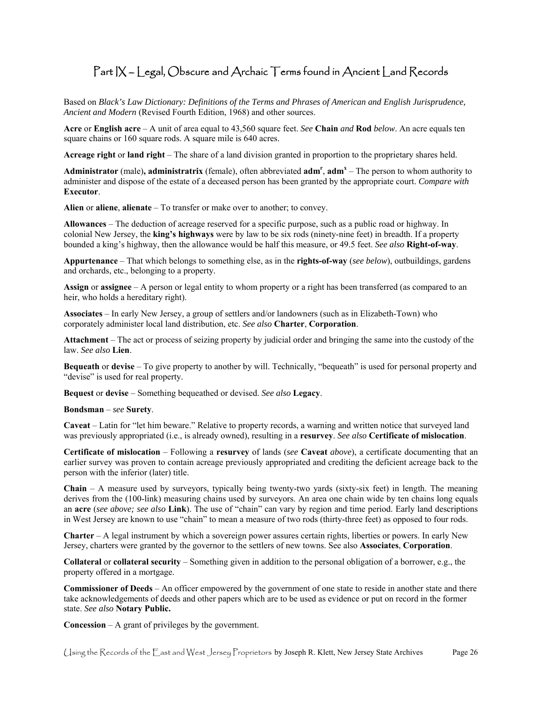### Part IX – Legal, Obscure and Archaic Terms found in Ancient Land Records

Based on *Black's Law Dictionary: Definitions of the Terms and Phrases of American and English Jurisprudence, Ancient and Modern* (Revised Fourth Edition, 1968) and other sources.

 **Acre** or **English acre** – A unit of area equal to 43,560 square feet. *See* **Chain** *and* **Rod** *below*. An acre equals ten square chains or 160 square rods. A square mile is 640 acres.

**Acreage right** or **land right** – The share of a land division granted in proportion to the proprietary shares held.

Administrator (male), administratrix (female), often abbreviated adm<sup>r</sup>, adm<sup>x</sup> – The person to whom authority to administer and dispose of the estate of a deceased person has been granted by the appropriate court. *Compare with*  **Executor**.

**Alien** or **aliene**, **alienate** – To transfer or make over to another; to convey.

 **Allowances** – The deduction of acreage reserved for a specific purpose, such as a public road or highway. In bounded a king's highway, then the allowance would be half this measure, or 49.5 feet. *See also* **Right-of-way**. colonial New Jersey, the **king's highways** were by law to be six rods (ninety-nine feet) in breadth. If a property

 **Appurtenance** – That which belongs to something else, as in the **rights-of-way** (*see below*), outbuildings, gardens and orchards, etc., belonging to a property.

 **Assign** or **assignee** – A person or legal entity to whom property or a right has been transferred (as compared to an heir, who holds a hereditary right).

 **Associates** – In early New Jersey, a group of settlers and/or landowners (such as in Elizabeth-Town) who corporately administer local land distribution, etc. *See also* **Charter**, **Corporation**.

 **Attachment** – The act or process of seizing property by judicial order and bringing the same into the custody of the law. *See also* **Lien**.

 **Bequeath** or **devise** – To give property to another by will. Technically, "bequeath" is used for personal property and "devise" is used for real property.

**Bequest** or **devise** – Something bequeathed or devised. *See also* **Legacy**.

#### **Bondsman** – *see* **Surety**.

 **Caveat** – Latin for "let him beware." Relative to property records, a warning and written notice that surveyed land was previously appropriated (i.e., is already owned), resulting in a **resurvey**. *See also* **Certificate of mislocation**.

 **Certificate of mislocation** – Following a **resurvey** of lands (*see* **Caveat** *above*), a certificate documenting that an earlier survey was proven to contain acreage previously appropriated and crediting the deficient acreage back to the person with the inferior (later) title.

 **Chain** – A measure used by surveyors, typically being twenty-two yards (sixty-six feet) in length. The meaning derives from the (100-link) measuring chains used by surveyors. An area one chain wide by ten chains long equals an **acre** (*see above; see also* **Link**). The use of "chain" can vary by region and time period. Early land descriptions in West Jersey are known to use "chain" to mean a measure of two rods (thirty-three feet) as opposed to four rods.

**Charter** – A legal instrument by which a sovereign power assures certain rights, liberties or powers. In early New Jersey, charters were granted by the governor to the settlers of new towns. See also **Associates**, **Corporation**.

 **Collateral** or **collateral security** – Something given in addition to the personal obligation of a borrower, e.g., the property offered in a mortgage.

**Commissioner of Deeds** – An officer empowered by the government of one state to reside in another state and there take acknowledgements of deeds and other papers which are to be used as evidence or put on record in the former state. *See also* **Notary Public.** 

**Concession** – A grant of privileges by the government.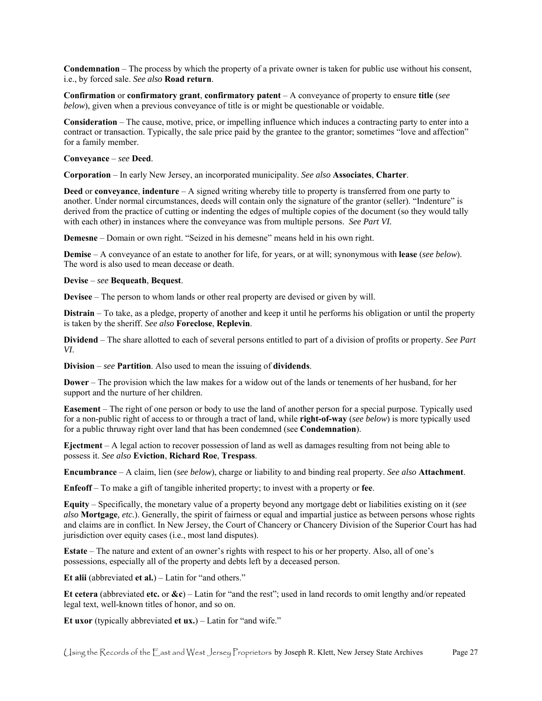**Condemnation** – The process by which the property of a private owner is taken for public use without his consent, i.e., by forced sale. *See also* **Road return**.

 **Confirmation** or **confirmatory grant**, **confirmatory patent** – A conveyance of property to ensure **title** (*see below*), given when a previous conveyance of title is or might be questionable or voidable.

 **Consideration** – The cause, motive, price, or impelling influence which induces a contracting party to enter into a for a family member. contract or transaction. Typically, the sale price paid by the grantee to the grantor; sometimes "love and affection"

#### **Conveyance** – *see* **Deed**.

**Corporation** – In early New Jersey, an incorporated municipality. *See also* **Associates**, **Charter**.

 **Deed** or **conveyance**, **indenture** – A signed writing whereby title to property is transferred from one party to derived from the practice of cutting or indenting the edges of multiple copies of the document (so they would tally with each other) in instances where the conveyance was from multiple persons. *See Part VI.*  another. Under normal circumstances, deeds will contain only the signature of the grantor (seller). "Indenture" is

**Demesne** – Domain or own right. "Seized in his demesne" means held in his own right.

 The word is also used to mean decease or death. **Demise** – A conveyance of an estate to another for life, for years, or at will; synonymous with **lease** (*see below*).

#### **Devise** – *see* **Bequeath**, **Bequest**.

**Devisee** – The person to whom lands or other real property are devised or given by will.

 **Distrain** – To take, as a pledge, property of another and keep it until he performs his obligation or until the property is taken by the sheriff. *See also* **Foreclose**, **Replevin**.

 **Dividend** – The share allotted to each of several persons entitled to part of a division of profits or property. *See Part VI*.

**Division** – *see* **Partition**. Also used to mean the issuing of **dividends**.

 **Dower** – The provision which the law makes for a widow out of the lands or tenements of her husband, for her support and the nurture of her children.

 **Easement** – The right of one person or body to use the land of another person for a special purpose. Typically used for a non-public right of access to or through a tract of land, while **right-of-way** (*see below*) is more typically used for a public thruway right over land that has been condemned (see **Condemnation**).

 **Ejectment** – A legal action to recover possession of land as well as damages resulting from not being able to possess it. *See also* **Eviction**, **Richard Roe**, **Trespass**.

**Encumbrance** – A claim, lien (*see below*), charge or liability to and binding real property. *See also* **Attachment**.

**Enfeoff** – To make a gift of tangible inherited property; to invest with a property or **fee**.

 **Equity** – Specifically, the monetary value of a property beyond any mortgage debt or liabilities existing on it (*see*  and claims are in conflict. In New Jersey, the Court of Chancery or Chancery Division of the Superior Court has had *also* **Mortgage***, etc.*). Generally, the spirit of fairness or equal and impartial justice as between persons whose rights jurisdiction over equity cases (i.e., most land disputes).

 **Estate** – The nature and extent of an owner's rights with respect to his or her property. Also, all of one's possessions, especially all of the property and debts left by a deceased person.

**Et alii** (abbreviated **et al.**) – Latin for "and others."

 **Et cetera** (abbreviated **etc.** or **&c**) – Latin for "and the rest"; used in land records to omit lengthy and/or repeated legal text, well-known titles of honor, and so on.

**Et uxor** (typically abbreviated **et ux.**) – Latin for "and wife."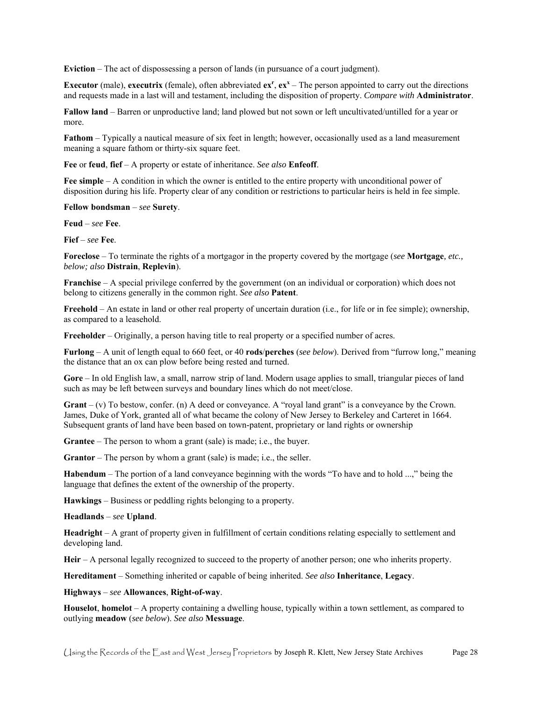**Eviction** – The act of dispossessing a person of lands (in pursuance of a court judgment).

**Executor** (male), **executrix** (female), often abbreviated  $ex^r$ ,  $ex^x$  – The person appointed to carry out the directions and requests made in a last will and testament, including the disposition of property. *Compare with* **Administrator**.

 **Fallow land** – Barren or unproductive land; land plowed but not sown or left uncultivated/untilled for a year or more.

**Fathom** – Typically a nautical measure of six feet in length; however, occasionally used as a land measurement meaning a square fathom or thirty-six square feet.

**Fee** or **feud**, **fief** – A property or estate of inheritance. *See also* **Enfeoff**.

 **Fee simple** – A condition in which the owner is entitled to the entire property with unconditional power of disposition during his life. Property clear of any condition or restrictions to particular heirs is held in fee simple.

**Fellow bondsman** – *see* **Surety**.

**Feud** – *see* **Fee**.

**Fief** – *see* **Fee**.

 **Foreclose** – To terminate the rights of a mortgagor in the property covered by the mortgage (*see* **Mortgage***, etc., below; also* **Distrain**, **Replevin**).

 **Franchise** – A special privilege conferred by the government (on an individual or corporation) which does not belong to citizens generally in the common right. *See also* **Patent**.

 **Freehold** – An estate in land or other real property of uncertain duration (i.e., for life or in fee simple); ownership, as compared to a leasehold.

**Freeholder** – Originally, a person having title to real property or a specified number of acres.

 **Furlong** – A unit of length equal to 660 feet, or 40 **rods**/**perches** (*see below*). Derived from "furrow long," meaning the distance that an ox can plow before being rested and turned.

 **Gore** – In old English law, a small, narrow strip of land. Modern usage applies to small, triangular pieces of land such as may be left between surveys and boundary lines which do not meet/close.

 **Grant** – (v) To bestow, confer. (n) A deed or conveyance. A "royal land grant" is a conveyance by the Crown. Subsequent grants of land have been based on town-patent, proprietary or land rights or ownership James, Duke of York, granted all of what became the colony of New Jersey to Berkeley and Carteret in 1664.

**Grantee** – The person to whom a grant (sale) is made; i.e., the buyer.

**Grantor** – The person by whom a grant (sale) is made; i.e., the seller.

**Habendum** – The portion of a land conveyance beginning with the words "To have and to hold ...," being the language that defines the extent of the ownership of the property.

**Hawkings** – Business or peddling rights belonging to a property.

**Headlands** – *see* **Upland**.

 **Headright** – A grant of property given in fulfillment of certain conditions relating especially to settlement and developing land.

**Heir** – A personal legally recognized to succeed to the property of another person; one who inherits property.

**Hereditament** – Something inherited or capable of being inherited. *See also* **Inheritance**, **Legacy**.

**Highways** – *see* **Allowances**, **Right-of-way**.

 **Houselot**, **homelot** – A property containing a dwelling house, typically within a town settlement, as compared to outlying **meadow** (*see below*). *See also* **Messuage**.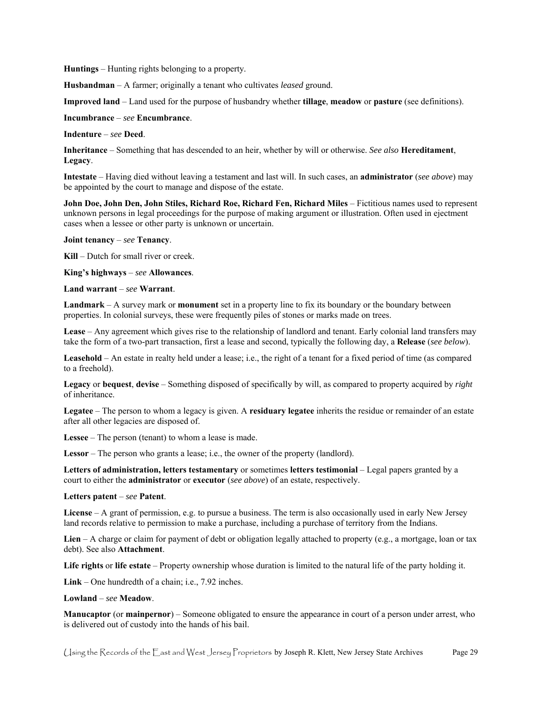**Huntings** – Hunting rights belonging to a property.

**Husbandman** – A farmer; originally a tenant who cultivates *leased* ground.

**Improved land** – Land used for the purpose of husbandry whether **tillage**, **meadow** or **pasture** (see definitions).

**Incumbrance** – *see* **Encumbrance**.

**Indenture** – *see* **Deed**.

 **Inheritance** – Something that has descended to an heir, whether by will or otherwise. *See also* **Hereditament**, **Legacy**.

 **Intestate** – Having died without leaving a testament and last will. In such cases, an **administrator** (*see above*) may be appointed by the court to manage and dispose of the estate.

 **John Doe, John Den, John Stiles, Richard Roe, Richard Fen, Richard Miles** – Fictitious names used to represent unknown persons in legal proceedings for the purpose of making argument or illustration. Often used in ejectment cases when a lessee or other party is unknown or uncertain.

**Joint tenancy** – *see* **Tenancy**.

**Kill** – Dutch for small river or creek.

**King's highways** – *see* **Allowances**.

**Land warrant** – *see* **Warrant**.

 **Landmark** – A survey mark or **monument** set in a property line to fix its boundary or the boundary between properties. In colonial surveys, these were frequently piles of stones or marks made on trees.

**Lease** – Any agreement which gives rise to the relationship of landlord and tenant. Early colonial land transfers may take the form of a two-part transaction, first a lease and second, typically the following day, a **Release** (*see below*).

 **Leasehold** – An estate in realty held under a lease; i.e., the right of a tenant for a fixed period of time (as compared to a freehold).

 **Legacy** or **bequest**, **devise** – Something disposed of specifically by will, as compared to property acquired by *right*  of inheritance.

 **Legatee** – The person to whom a legacy is given. A **residuary legatee** inherits the residue or remainder of an estate after all other legacies are disposed of.

**Lessee** – The person (tenant) to whom a lease is made.

**Lessor** – The person who grants a lease; i.e., the owner of the property (landlord).

 **Letters of administration, letters testamentary** or sometimes **letters testimonial** – Legal papers granted by a court to either the **administrator** or **executor** (*see above*) of an estate, respectively.

**Letters patent** – *see* **Patent**.

 land records relative to permission to make a purchase, including a purchase of territory from the Indians. **License** – A grant of permission, e.g. to pursue a business. The term is also occasionally used in early New Jersey

**Lien** – A charge or claim for payment of debt or obligation legally attached to property (e.g., a mortgage, loan or tax debt). See also **Attachment**.

**Life rights** or **life estate** – Property ownership whose duration is limited to the natural life of the party holding it.

**Link** – One hundredth of a chain; i.e., 7.92 inches.

**Lowland** – *see* **Meadow**.

 **Manucaptor** (or **mainpernor**) – Someone obligated to ensure the appearance in court of a person under arrest, who is delivered out of custody into the hands of his bail.

Using the Records of the East and West Jersey Proprietors by Joseph R. Klett, New Jersey State Archives Page 29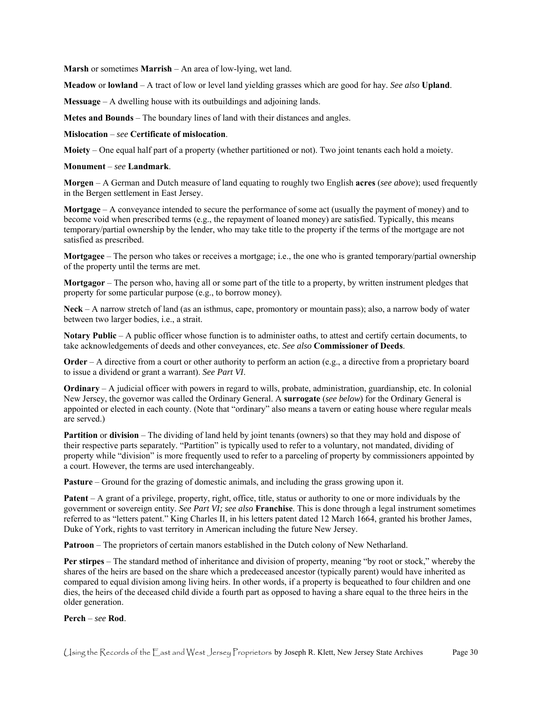**Marsh** or sometimes **Marrish** – An area of low-lying, wet land.

**Meadow** or **lowland** – A tract of low or level land yielding grasses which are good for hay. *See also* **Upland**.

**Messuage** – A dwelling house with its outbuildings and adjoining lands.

**Metes and Bounds** – The boundary lines of land with their distances and angles.

**Mislocation** – *see* **Certificate of mislocation**.

**Moiety** – One equal half part of a property (whether partitioned or not). Two joint tenants each hold a moiety.

#### **Monument** – *see* **Landmark**.

 **Morgen** – A German and Dutch measure of land equating to roughly two English **acres** (*see above*); used frequently in the Bergen settlement in East Jersey.

 **Mortgage** – A conveyance intended to secure the performance of some act (usually the payment of money) and to become void when prescribed terms (e.g., the repayment of loaned money) are satisfied. Typically, this means temporary/partial ownership by the lender, who may take title to the property if the terms of the mortgage are not satisfied as prescribed.

 **Mortgagee** – The person who takes or receives a mortgage; i.e., the one who is granted temporary/partial ownership of the property until the terms are met.

 **Mortgagor** – The person who, having all or some part of the title to a property, by written instrument pledges that property for some particular purpose (e.g., to borrow money).

 **Neck** – A narrow stretch of land (as an isthmus, cape, promontory or mountain pass); also, a narrow body of water between two larger bodies, i.e., a strait.

**Notary Public** – A public officer whose function is to administer oaths, to attest and certify certain documents, to take acknowledgements of deeds and other conveyances, etc. *See also* **Commissioner of Deeds**.

**Order** – A directive from a court or other authority to perform an action (e.g., a directive from a proprietary board to issue a dividend or grant a warrant). *See Part VI*.

 **Ordinary** – A judicial officer with powers in regard to wills, probate, administration, guardianship, etc. In colonial New Jersey, the governor was called the Ordinary General. A **surrogate** (*see below*) for the Ordinary General is appointed or elected in each county. (Note that "ordinary" also means a tavern or eating house where regular meals are served.)

 **Partition** or **division** – The dividing of land held by joint tenants (owners) so that they may hold and dispose of their respective parts separately. "Partition" is typically used to refer to a voluntary, not mandated, dividing of property while "division" is more frequently used to refer to a parceling of property by commissioners appointed by a court. However, the terms are used interchangeably.

**Pasture** – Ground for the grazing of domestic animals, and including the grass growing upon it.

 **Patent** – A grant of a privilege, property, right, office, title, status or authority to one or more individuals by the government or sovereign entity. *See Part VI; see also* **Franchise**. This is done through a legal instrument sometimes referred to as "letters patent." King Charles II, in his letters patent dated 12 March 1664, granted his brother James, Duke of York, rights to vast territory in American including the future New Jersey.

**Patroon** – The proprietors of certain manors established in the Dutch colony of New Netharland.

 dies, the heirs of the deceased child divide a fourth part as opposed to having a share equal to the three heirs in the **Per stirpes** – The standard method of inheritance and division of property, meaning "by root or stock," whereby the shares of the heirs are based on the share which a predeceased ancestor (typically parent) would have inherited as compared to equal division among living heirs. In other words, if a property is bequeathed to four children and one older generation.

#### **Perch** – *see* **Rod**.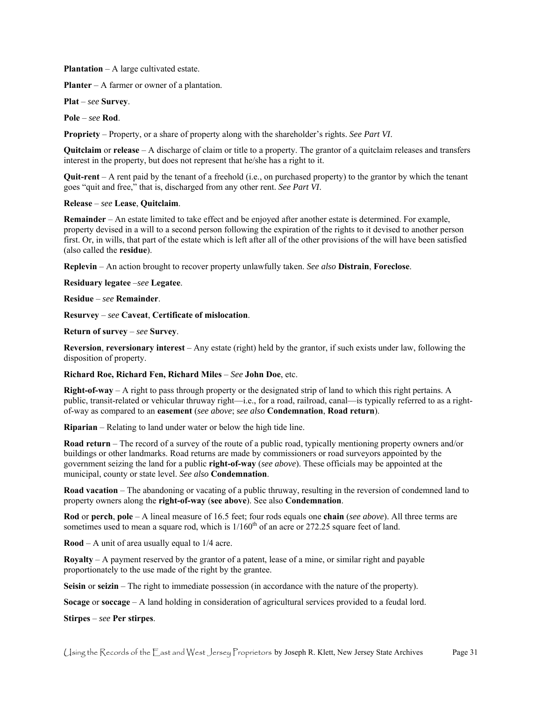**Plantation** – A large cultivated estate.

**Planter** – A farmer or owner of a plantation.

**Plat** – *see* **Survey**.

**Pole** – *see* **Rod**.

**Propriety** – Property, or a share of property along with the shareholder's rights. *See Part VI*.

 **Quitclaim** or **release** – A discharge of claim or title to a property. The grantor of a quitclaim releases and transfers interest in the property, but does not represent that he/she has a right to it.

 **Quit-rent** – A rent paid by the tenant of a freehold (i.e., on purchased property) to the grantor by which the tenant goes "quit and free," that is, discharged from any other rent. *See Part VI*.

#### **Release** – *see* **Lease**, **Quitclaim**.

 **Remainder** – An estate limited to take effect and be enjoyed after another estate is determined. For example, property devised in a will to a second person following the expiration of the rights to it devised to another person first. Or, in wills, that part of the estate which is left after all of the other provisions of the will have been satisfied (also called the **residue**).

**Replevin** – An action brought to recover property unlawfully taken. *See also* **Distrain**, **Foreclose**.

**Residuary legatee** –*see* **Legatee**.

**Residue** – *see* **Remainder**.

**Resurvey** – *see* **Caveat**, **Certificate of mislocation**.

**Return of survey** – *see* **Survey**.

 **Reversion**, **reversionary interest** – Any estate (right) held by the grantor, if such exists under law, following the disposition of property.

#### **Richard Roe, Richard Fen, Richard Miles** – *See* **John Doe**, etc.

 **Right-of-way** – A right to pass through property or the designated strip of land to which this right pertains. A public, transit-related or vehicular thruway right—i.e., for a road, railroad, canal—is typically referred to as a right-of-way as compared to an **easement** (*see above*; s*ee also* **Condemnation**, **Road return**).

**Riparian** – Relating to land under water or below the high tide line.

 **Road return** – The record of a survey of the route of a public road, typically mentioning property owners and/or government seizing the land for a public **right-of-way** (*see above*). These officials may be appointed at the buildings or other landmarks. Road returns are made by commissioners or road surveyors appointed by the municipal, county or state level. *See also* **Condemnation**.

 property owners along the **right-of-way** (**see above**). See also **Condemnation**. **Road vacation** – The abandoning or vacating of a public thruway, resulting in the reversion of condemned land to

 **Rod** or **perch**, **pole** – A lineal measure of 16.5 feet; four rods equals one **chain** (*see above*). All three terms are sometimes used to mean a square rod, which is  $1/160<sup>th</sup>$  of an acre or 272.25 square feet of land.

**Rood** – A unit of area usually equal to 1/4 acre.

 proportionately to the use made of the right by the grantee. **Royalty** – A payment reserved by the grantor of a patent, lease of a mine, or similar right and payable

**Seisin** or **seizin** – The right to immediate possession (in accordance with the nature of the property).

**Socage** or **soccage** – A land holding in consideration of agricultural services provided to a feudal lord.

**Stirpes** – *see* **Per stirpes**.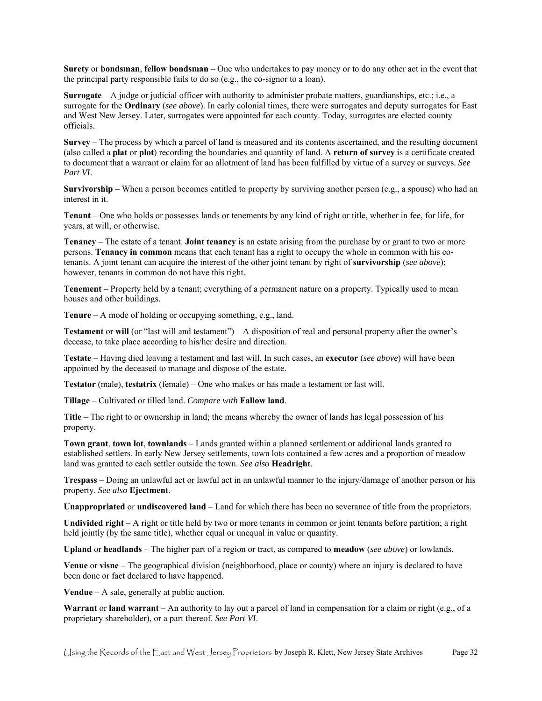**Surety** or **bondsman**, **fellow bondsman** – One who undertakes to pay money or to do any other act in the event that the principal party responsible fails to do so (e.g., the co-signor to a loan).

 **Surrogate** – A judge or judicial officer with authority to administer probate matters, guardianships, etc.; i.e., a surrogate for the **Ordinary** (*see above*). In early colonial times, there were surrogates and deputy surrogates for East and West New Jersey. Later, surrogates were appointed for each county. Today, surrogates are elected county officials.

 **Survey** – The process by which a parcel of land is measured and its contents ascertained, and the resulting document (also called a **plat** or **plot**) recording the boundaries and quantity of land. A **return of survey** is a certificate created to document that a warrant or claim for an allotment of land has been fulfilled by virtue of a survey or surveys. *See Part VI*.

 **Survivorship** – When a person becomes entitled to property by surviving another person (e.g., a spouse) who had an interest in it.

 **Tenant** – One who holds or possesses lands or tenements by any kind of right or title, whether in fee, for life, for years, at will, or otherwise.

 **Tenancy** – The estate of a tenant. **Joint tenancy** is an estate arising from the purchase by or grant to two or more tenants. A joint tenant can acquire the interest of the other joint tenant by right of **survivorship** (*see above*); however, tenants in common do not have this right. persons. **Tenancy in common** means that each tenant has a right to occupy the whole in common with his co-

 **Tenement** – Property held by a tenant; everything of a permanent nature on a property. Typically used to mean houses and other buildings.

**Tenure** – A mode of holding or occupying something, e.g., land.

 **Testament** or **will** (or "last will and testament") – A disposition of real and personal property after the owner's decease, to take place according to his/her desire and direction.

 **Testate** – Having died leaving a testament and last will. In such cases, an **executor** (*see above*) will have been appointed by the deceased to manage and dispose of the estate.

**Testator** (male), **testatrix** (female) – One who makes or has made a testament or last will.

**Tillage** – Cultivated or tilled land. *Compare with* **Fallow land**.

 **Title** – The right to or ownership in land; the means whereby the owner of lands has legal possession of his property.

 **Town grant**, **town lot**, **townlands** – Lands granted within a planned settlement or additional lands granted to established settlers. In early New Jersey settlements, town lots contained a few acres and a proportion of meadow land was granted to each settler outside the town. *See also* **Headright**.

 **Trespass** – Doing an unlawful act or lawful act in an unlawful manner to the injury/damage of another person or his property. *See also* **Ejectment**.

**Unappropriated** or **undiscovered land** – Land for which there has been no severance of title from the proprietors.

 **Undivided right** – A right or title held by two or more tenants in common or joint tenants before partition; a right held jointly (by the same title), whether equal or unequal in value or quantity.

**Upland** or **headlands** – The higher part of a region or tract, as compared to **meadow** (*see above*) or lowlands.

 **Venue** or **visne** – The geographical division (neighborhood, place or county) where an injury is declared to have been done or fact declared to have happened.

**Vendue** – A sale, generally at public auction.

**Warrant** or **land warrant** – An authority to lay out a parcel of land in compensation for a claim or right (e.g., of a proprietary shareholder), or a part thereof. *See Part VI*.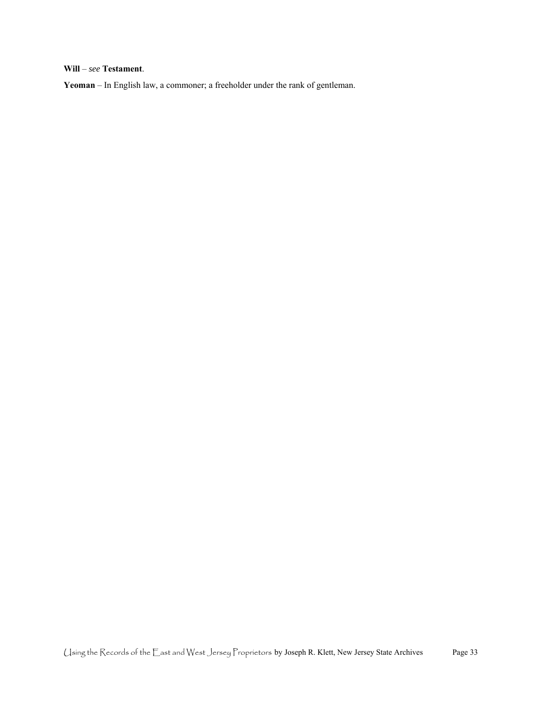#### **Will** – *see* **Testament**.

**Yeoman** – In English law, a commoner; a freeholder under the rank of gentleman.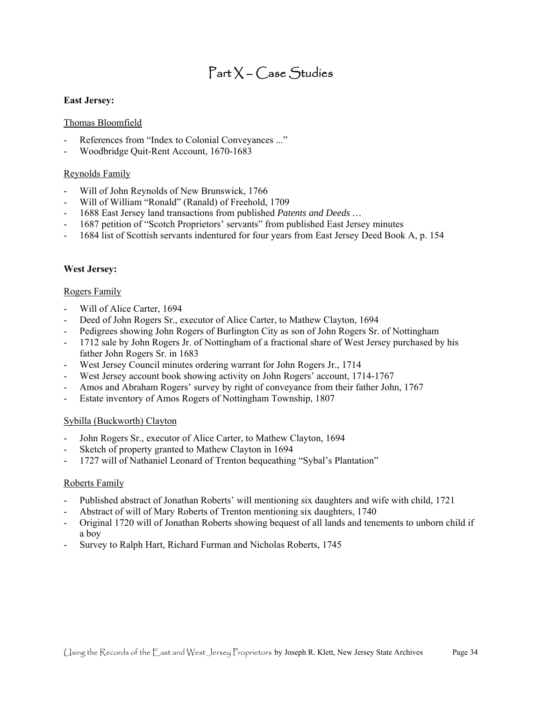### Part X – Case Studies

#### **East Jersey:**

#### Thomas Bloomfield

- References from "Index to Colonial Conveyances ..."
- Woodbridge Quit-Rent Account, 1670-1683

#### Reynolds Family

- Will of John Reynolds of New Brunswick, 1766
- Will of William "Ronald" (Ranald) of Freehold, 1709
- 1688 East Jersey land transactions from published *Patents and Deeds …*
- 1687 petition of "Scotch Proprietors' servants" from published East Jersey minutes
- 1684 list of Scottish servants indentured for four years from East Jersey Deed Book A, p. 154

#### **West Jersey:**

#### Rogers Family

- Will of Alice Carter, 1694
- Deed of John Rogers Sr., executor of Alice Carter, to Mathew Clayton, 1694
- Pedigrees showing John Rogers of Burlington City as son of John Rogers Sr. of Nottingham
- 1712 sale by John Rogers Jr. of Nottingham of a fractional share of West Jersey purchased by his father John Rogers Sr. in 1683
- West Jersey Council minutes ordering warrant for John Rogers Jr., 1714
- West Jersey account book showing activity on John Rogers' account, 1714-1767
- Amos and Abraham Rogers' survey by right of conveyance from their father John, 1767
- Estate inventory of Amos Rogers of Nottingham Township, 1807

#### Sybilla (Buckworth) Clayton

- John Rogers Sr., executor of Alice Carter, to Mathew Clayton, 1694
- Sketch of property granted to Mathew Clayton in 1694
- 1727 will of Nathaniel Leonard of Trenton bequeathing "Sybal's Plantation"

#### Roberts Family

- Published abstract of Jonathan Roberts' will mentioning six daughters and wife with child, 1721
- Abstract of will of Mary Roberts of Trenton mentioning six daughters, 1740
- Original 1720 will of Jonathan Roberts showing bequest of all lands and tenements to unborn child if a boy
- Survey to Ralph Hart, Richard Furman and Nicholas Roberts, 1745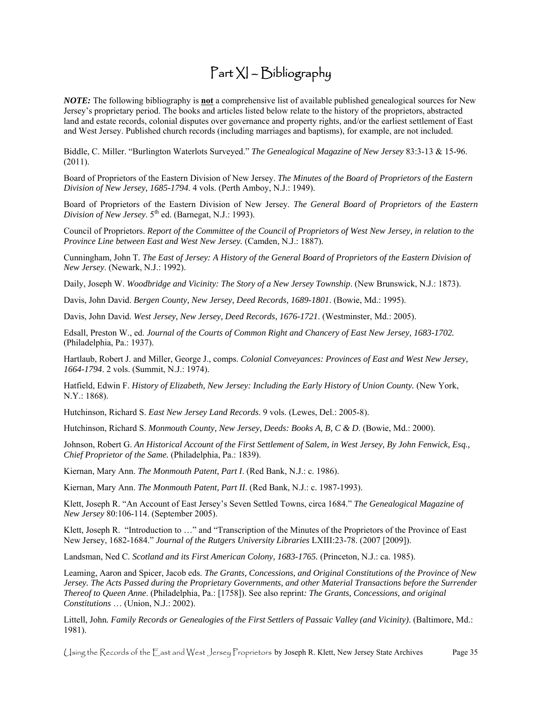### Part XI – Bibliography

 Jersey's proprietary period. The books and articles listed below relate to the history of the proprietors, abstracted land and estate records, colonial disputes over governance and property rights, and/or the earliest settlement of East *NOTE:* The following bibliography is **not** a comprehensive list of available published genealogical sources for New and West Jersey. Published church records (including marriages and baptisms), for example, are not included.

 Biddle, C. Miller. "Burlington Waterlots Surveyed." *The Genealogical Magazine of New Jersey* 83:3-13 & 15-96. (2011).

 Board of Proprietors of the Eastern Division of New Jersey. *The Minutes of the Board of Proprietors of the Eastern Division of New Jersey, 1685-1794*. 4 vols. (Perth Amboy, N.J.: 1949).

Board of Proprietors of the Eastern Division of New Jersey. *The General Board of Proprietors of the Eastern Division of New Jersey.* 5<sup>th</sup> ed. (Barnegat, N.J.: 1993).

 *Province Line between East and West New Jersey.* (Camden, N.J.: 1887). Council of Proprietors. *Report of the Committee of the Council of Proprietors of West New Jersey, in relation to the* 

 Cunningham, John T*. The East of Jersey: A History of the General Board of Proprietors of the Eastern Division of New Jersey*. (Newark, N.J.: 1992).

Daily, Joseph W. *Woodbridge and Vicinity: The Story of a New Jersey Township*. (New Brunswick, N.J.: 1873).

Davis, John David. *Bergen County, New Jersey, Deed Records, 1689-1801*. (Bowie, Md.: 1995).

Davis, John David. *West Jersey, New Jersey, Deed Records, 1676-1721*. (Westminster, Md.: 2005).

Edsall, Preston W., ed. *Journal of the Courts of Common Right and Chancery of East New Jersey, 1683-1702.*  (Philadelphia, Pa.: 1937).

 Hartlaub, Robert J. and Miller, George J., comps. *Colonial Conveyances: Provinces of East and West New Jersey, 1664-1794*. 2 vols. (Summit, N.J.: 1974).

Hatfield, Edwin F. *History of Elizabeth, New Jersey: Including the Early History of Union County.* (New York, N.Y.: 1868).

Hutchinson, Richard S. *East New Jersey Land Records*. 9 vols. (Lewes, Del.: 2005-8).

Hutchinson, Richard S. *Monmouth County, New Jersey, Deeds: Books A, B, C & D*. (Bowie, Md.: 2000).

 Johnson, Robert G. *An Historical Account of the First Settlement of Salem, in West Jersey, By John Fenwick, Esq., Chief Proprietor of the Same.* (Philadelphia, Pa.: 1839).

Kiernan, Mary Ann. *The Monmouth Patent, Part I*. (Red Bank, N.J.: c. 1986).

Kiernan, Mary Ann. *The Monmouth Patent, Part II*. (Red Bank, N.J.: c. 1987-1993).

 Klett, Joseph R. "An Account of East Jersey's Seven Settled Towns, circa 1684." *The Genealogical Magazine of New Jersey* 80:106-114. (September 2005).

Klett, Joseph R. "Introduction to …" and "Transcription of the Minutes of the Proprietors of the Province of East New Jersey, 1682-1684." *Journal of the Rutgers University Libraries* LXIII:23-78. (2007 [2009]).

Landsman, Ned C. Scotland and its First American Colony, 1683-1765. (Princeton, N.J.: ca. 1985).

Leaming, Aaron and Spicer, Jacob eds. *The Grants, Concessions, and Original Constitutions of the Province of New Jersey. The Acts Passed during the Proprietary Governments, and other Material Transactions before the Surrender Thereof to Queen Anne*. (Philadelphia, Pa.: [1758]). See also reprint*: The Grants, Concessions, and original Constitutions* … (Union, N.J.: 2002).

Littell, John*. Family Records or Genealogies of the First Settlers of Passaic Valley (and Vicinity)*. (Baltimore, Md.: 1981).

Using the Records of the East and West Jersey Proprietors by Joseph R. Klett, New Jersey State Archives Page 35